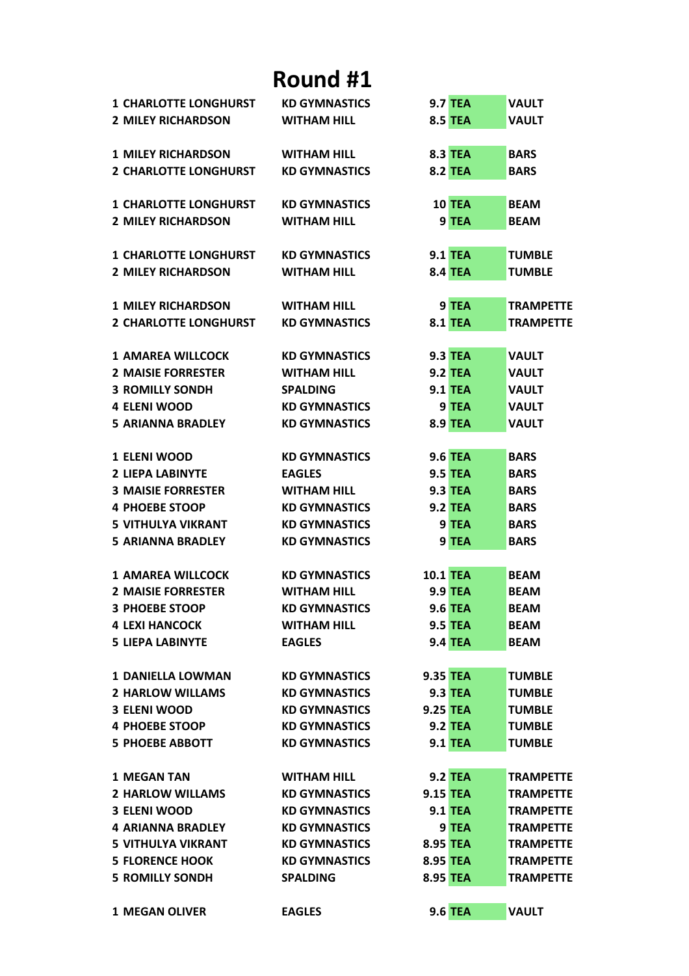| <b>1 CHARLOTTE LONGHURST</b> | <b>KD GYMNASTICS</b> | <b>9.7 TEA</b>  | <b>VAULT</b>     |
|------------------------------|----------------------|-----------------|------------------|
| <b>2 MILEY RICHARDSON</b>    | <b>WITHAM HILL</b>   | <b>8.5 TEA</b>  | <b>VAULT</b>     |
|                              |                      |                 |                  |
| <b>1 MILEY RICHARDSON</b>    | <b>WITHAM HILL</b>   | <b>8.3 TEA</b>  | <b>BARS</b>      |
| <b>2 CHARLOTTE LONGHURST</b> | <b>KD GYMNASTICS</b> | <b>8.2 TEA</b>  | <b>BARS</b>      |
| <b>1 CHARLOTTE LONGHURST</b> | <b>KD GYMNASTICS</b> | 10 TEA          | <b>BEAM</b>      |
| <b>2 MILEY RICHARDSON</b>    | <b>WITHAM HILL</b>   | 9 TEA           | <b>BEAM</b>      |
| <b>1 CHARLOTTE LONGHURST</b> | <b>KD GYMNASTICS</b> | <b>9.1 TEA</b>  | <b>TUMBLE</b>    |
| <b>2 MILEY RICHARDSON</b>    | <b>WITHAM HILL</b>   | <b>8.4 TEA</b>  | <b>TUMBLE</b>    |
|                              |                      |                 |                  |
| <b>1 MILEY RICHARDSON</b>    | <b>WITHAM HILL</b>   | 9 TEA           | <b>TRAMPETTE</b> |
| <b>2 CHARLOTTE LONGHURST</b> | <b>KD GYMNASTICS</b> | <b>8.1 TEA</b>  | <b>TRAMPETTE</b> |
| <b>1 AMAREA WILLCOCK</b>     | <b>KD GYMNASTICS</b> | <b>9.3 TEA</b>  | <b>VAULT</b>     |
| <b>2 MAISIE FORRESTER</b>    | <b>WITHAM HILL</b>   | <b>9.2 TEA</b>  | <b>VAULT</b>     |
| <b>3 ROMILLY SONDH</b>       | <b>SPALDING</b>      | <b>9.1 TEA</b>  | <b>VAULT</b>     |
| <b>4 ELENI WOOD</b>          | <b>KD GYMNASTICS</b> | 9 TEA           | <b>VAULT</b>     |
| <b>5 ARIANNA BRADLEY</b>     | <b>KD GYMNASTICS</b> | <b>8.9 TEA</b>  | <b>VAULT</b>     |
|                              |                      |                 |                  |
| <b>1 ELENI WOOD</b>          | <b>KD GYMNASTICS</b> | <b>9.6 TEA</b>  | <b>BARS</b>      |
| <b>2 LIEPA LABINYTE</b>      | <b>EAGLES</b>        | <b>9.5 TEA</b>  | <b>BARS</b>      |
| <b>3 MAISIE FORRESTER</b>    | <b>WITHAM HILL</b>   | <b>9.3 TEA</b>  | <b>BARS</b>      |
| <b>4 PHOEBE STOOP</b>        | <b>KD GYMNASTICS</b> | <b>9.2 TEA</b>  | <b>BARS</b>      |
| <b>5 VITHULYA VIKRANT</b>    | <b>KD GYMNASTICS</b> | 9 TEA           | <b>BARS</b>      |
| <b>5 ARIANNA BRADLEY</b>     | <b>KD GYMNASTICS</b> | 9 TEA           | <b>BARS</b>      |
| <b>1 AMAREA WILLCOCK</b>     | <b>KD GYMNASTICS</b> | <b>10.1 TEA</b> | <b>BEAM</b>      |
| <b>2 MAISIE FORRESTER</b>    | <b>WITHAM HILL</b>   | <b>9.9 TEA</b>  | <b>BEAM</b>      |
| <b>3 PHOEBE STOOP</b>        | <b>KD GYMNASTICS</b> | <b>9.6 TEA</b>  | <b>BEAM</b>      |
| <b>4 LEXI HANCOCK</b>        | <b>WITHAM HILL</b>   | <b>9.5 TEA</b>  | <b>BEAM</b>      |
| <b>5 LIEPA LABINYTE</b>      | <b>EAGLES</b>        | <b>9.4 TEA</b>  | <b>BEAM</b>      |
|                              |                      |                 |                  |
| <b>1 DANIELLA LOWMAN</b>     | <b>KD GYMNASTICS</b> | 9.35 TEA        | <b>TUMBLE</b>    |
| <b>2 HARLOW WILLAMS</b>      | <b>KD GYMNASTICS</b> | <b>9.3 TEA</b>  | <b>TUMBLE</b>    |
| <b>3 ELENI WOOD</b>          | <b>KD GYMNASTICS</b> | <b>9.25 TEA</b> | <b>TUMBLE</b>    |
| <b>4 PHOEBE STOOP</b>        | <b>KD GYMNASTICS</b> | <b>9.2 TEA</b>  | <b>TUMBLE</b>    |
| <b>5 PHOEBE ABBOTT</b>       | <b>KD GYMNASTICS</b> | <b>9.1 TEA</b>  | <b>TUMBLE</b>    |
| <b>1 MEGAN TAN</b>           | <b>WITHAM HILL</b>   | <b>9.2 TEA</b>  | <b>TRAMPETTE</b> |
| <b>2 HARLOW WILLAMS</b>      | <b>KD GYMNASTICS</b> | <b>9.15 TEA</b> | <b>TRAMPETTE</b> |
| <b>3 ELENI WOOD</b>          | <b>KD GYMNASTICS</b> | <b>9.1 TEA</b>  | <b>TRAMPETTE</b> |
| <b>4 ARIANNA BRADLEY</b>     | <b>KD GYMNASTICS</b> | 9 TEA           | <b>TRAMPETTE</b> |
| <b>5 VITHULYA VIKRANT</b>    | <b>KD GYMNASTICS</b> | 8.95 TEA        | <b>TRAMPETTE</b> |
| <b>5 FLORENCE HOOK</b>       | <b>KD GYMNASTICS</b> | 8.95 TEA        | <b>TRAMPETTE</b> |
| <b>5 ROMILLY SONDH</b>       | <b>SPALDING</b>      | 8.95 TEA        | <b>TRAMPETTE</b> |
|                              |                      |                 |                  |
| <b>1 MEGAN OLIVER</b>        | <b>EAGLES</b>        | <b>9.6 TEA</b>  | <b>VAULT</b>     |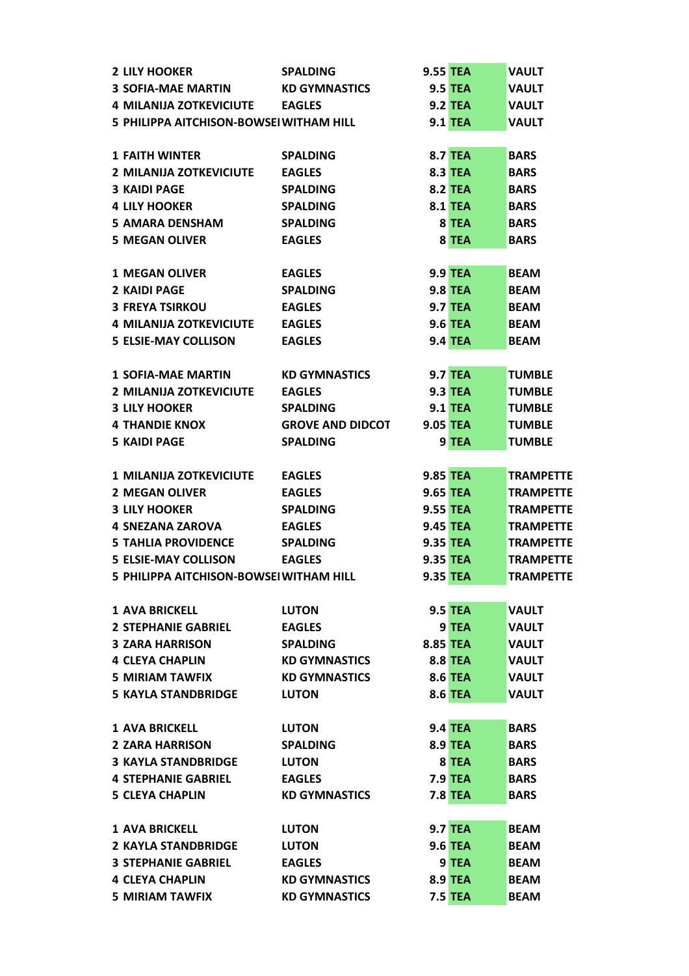| <b>2 LILY HOOKER</b>                    | <b>SPALDING</b>         | <b>9.55 TEA</b> | <b>VAULT</b>     |
|-----------------------------------------|-------------------------|-----------------|------------------|
| <b>3 SOFIA-MAE MARTIN</b>               | <b>KD GYMNASTICS</b>    | <b>9.5 TEA</b>  | <b>VAULT</b>     |
| <b>4 MILANIJA ZOTKEVICIUTE</b>          | <b>EAGLES</b>           | <b>9.2 TEA</b>  | <b>VAULT</b>     |
| 5 PHILIPPA AITCHISON-BOWSEI WITHAM HILL |                         | <b>9.1 TEA</b>  | <b>VAULT</b>     |
|                                         |                         |                 |                  |
| <b>1 FAITH WINTER</b>                   | <b>SPALDING</b>         | <b>8.7 TEA</b>  | <b>BARS</b>      |
| 2 MILANIJA ZOTKEVICIUTE                 | <b>EAGLES</b>           | <b>8.3 TEA</b>  | <b>BARS</b>      |
| <b>3 KAIDI PAGE</b>                     | <b>SPALDING</b>         | <b>8.2 TEA</b>  | <b>BARS</b>      |
| <b>4 LILY HOOKER</b>                    | <b>SPALDING</b>         | <b>8.1 TEA</b>  | <b>BARS</b>      |
| <b>5 AMARA DENSHAM</b>                  | <b>SPALDING</b>         | 8 TEA           | <b>BARS</b>      |
| <b>5 MEGAN OLIVER</b>                   | <b>EAGLES</b>           | 8 TEA           | <b>BARS</b>      |
|                                         |                         |                 |                  |
| <b>1 MEGAN OLIVER</b>                   | <b>EAGLES</b>           | <b>9.9 TEA</b>  | <b>BEAM</b>      |
| 2 KAIDI PAGE                            | <b>SPALDING</b>         | <b>9.8 TEA</b>  | <b>BEAM</b>      |
| <b>3 FREYA TSIRKOU</b>                  | <b>EAGLES</b>           | <b>9.7 TEA</b>  | <b>BEAM</b>      |
| <b>4 MILANIJA ZOTKEVICIUTE</b>          | <b>EAGLES</b>           | <b>9.6 TEA</b>  | <b>BEAM</b>      |
| <b>5 ELSIE-MAY COLLISON</b>             | <b>EAGLES</b>           | <b>9.4 TEA</b>  | <b>BEAM</b>      |
|                                         |                         |                 |                  |
| <b>1 SOFIA-MAE MARTIN</b>               | <b>KD GYMNASTICS</b>    | <b>9.7 TEA</b>  | <b>TUMBLE</b>    |
| <b>2 MILANIJA ZOTKEVICIUTE</b>          | <b>EAGLES</b>           | <b>9.3 TEA</b>  | <b>TUMBLE</b>    |
| <b>3 LILY HOOKER</b>                    | <b>SPALDING</b>         | <b>9.1 TEA</b>  | <b>TUMBLE</b>    |
| <b>4 THANDIE KNOX</b>                   | <b>GROVE AND DIDCOT</b> | <b>9.05 TEA</b> | <b>TUMBLE</b>    |
| <b>5 KAIDI PAGE</b>                     | <b>SPALDING</b>         | 9 TEA           | <b>TUMBLE</b>    |
|                                         |                         |                 |                  |
| 1 MILANIJA ZOTKEVICIUTE                 | <b>EAGLES</b>           | <b>9.85 TEA</b> | <b>TRAMPETTE</b> |
| <b>2 MEGAN OLIVER</b>                   | <b>EAGLES</b>           | <b>9.65 TEA</b> | <b>TRAMPETTE</b> |
| <b>3 LILY HOOKER</b>                    | <b>SPALDING</b>         | <b>9.55 TEA</b> | <b>TRAMPETTE</b> |
| <b>4 SNEZANA ZAROVA</b>                 | <b>EAGLES</b>           | <b>9.45 TEA</b> | <b>TRAMPETTE</b> |
| <b>5 TAHLIA PROVIDENCE</b>              | <b>SPALDING</b>         | <b>9.35 TEA</b> | <b>TRAMPETTE</b> |
| <b>5 ELSIE-MAY COLLISON</b>             | <b>EAGLES</b>           | <b>9.35 TEA</b> | <b>TRAMPETTE</b> |
| 5 PHILIPPA AITCHISON-BOWSEI WITHAM HILL |                         | 9.35 TEA        | <b>TRAMPETTE</b> |
|                                         |                         |                 |                  |
| <b>1 AVA BRICKELL</b>                   | <b>LUTON</b>            | <b>9.5 TEA</b>  | <b>VAULT</b>     |
| <b>2 STEPHANIE GABRIEL</b>              | <b>EAGLES</b>           | 9 TEA           | <b>VAULT</b>     |
| <b>3 ZARA HARRISON</b>                  | <b>SPALDING</b>         | <b>8.85 TEA</b> | <b>VAULT</b>     |
| <b>4 CLEYA CHAPLIN</b>                  | <b>KD GYMNASTICS</b>    | <b>8.8 TEA</b>  | <b>VAULT</b>     |
| <b>5 MIRIAM TAWFIX</b>                  | <b>KD GYMNASTICS</b>    | <b>8.6 TEA</b>  | <b>VAULT</b>     |
| <b>5 KAYLA STANDBRIDGE</b>              | <b>LUTON</b>            | <b>8.6 TEA</b>  | <b>VAULT</b>     |
|                                         |                         |                 |                  |
| <b>1 AVA BRICKELL</b>                   | <b>LUTON</b>            | <b>9.4 TEA</b>  | <b>BARS</b>      |
| <b>2 ZARA HARRISON</b>                  | <b>SPALDING</b>         | <b>8.9 TEA</b>  | <b>BARS</b>      |
| <b>3 KAYLA STANDBRIDGE</b>              | <b>LUTON</b>            | 8 TEA           | <b>BARS</b>      |
| <b>4 STEPHANIE GABRIEL</b>              | <b>EAGLES</b>           | <b>7.9 TEA</b>  | <b>BARS</b>      |
| <b>5 CLEYA CHAPLIN</b>                  | <b>KD GYMNASTICS</b>    | <b>7.8 TEA</b>  | <b>BARS</b>      |
|                                         |                         |                 |                  |
| <b>1 AVA BRICKELL</b>                   | <b>LUTON</b>            | <b>9.7 TEA</b>  | <b>BEAM</b>      |
| <b>2 KAYLA STANDBRIDGE</b>              | <b>LUTON</b>            | <b>9.6 TEA</b>  | <b>BEAM</b>      |
| <b>3 STEPHANIE GABRIEL</b>              | <b>EAGLES</b>           | 9 TEA           | <b>BEAM</b>      |
| <b>4 CLEYA CHAPLIN</b>                  | <b>KD GYMNASTICS</b>    | <b>8.9 TEA</b>  | <b>BEAM</b>      |
| <b>5 MIRIAM TAWFIX</b>                  | <b>KD GYMNASTICS</b>    | <b>7.5 TEA</b>  | <b>BEAM</b>      |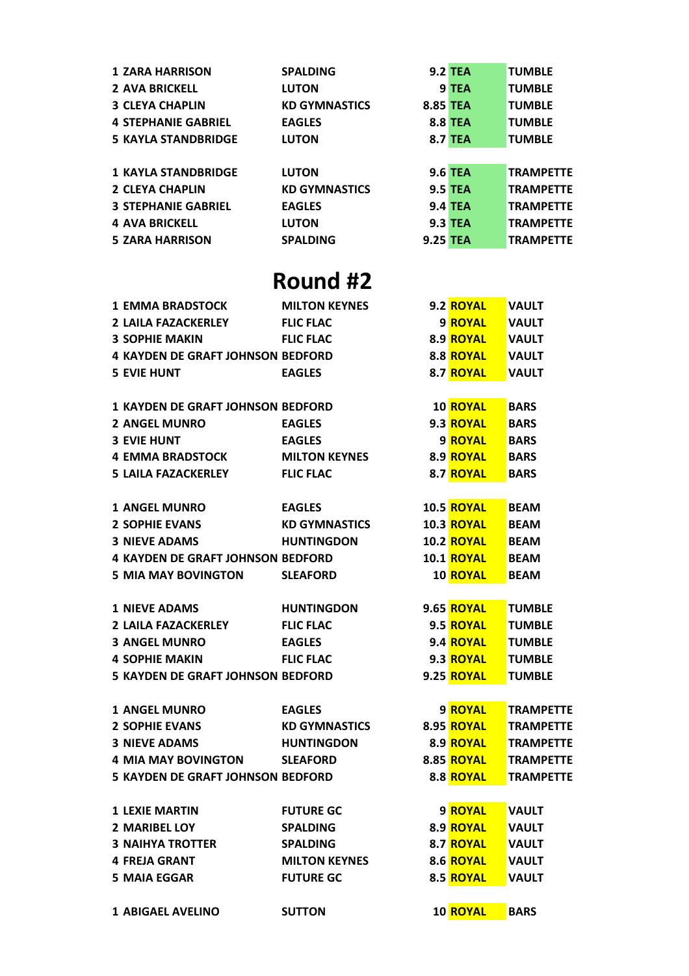| <b>1 ZARA HARRISON</b>     | <b>SPALDING</b>      |                 | <b>9.2 TEA</b> | <b>TUMBLE</b>    |
|----------------------------|----------------------|-----------------|----------------|------------------|
| <b>2 AVA BRICKELL</b>      | <b>LUTON</b>         |                 | 9 TEA          | <b>TUMBLE</b>    |
| <b>3 CLEYA CHAPLIN</b>     | <b>KD GYMNASTICS</b> | <b>8.85 TEA</b> |                | <b>TUMBLE</b>    |
| <b>4 STEPHANIE GABRIEL</b> | <b>EAGLES</b>        |                 | <b>8.8 TEA</b> | <b>TUMBLE</b>    |
| <b>5 KAYLA STANDBRIDGE</b> | <b>LUTON</b>         |                 | <b>8.7 TEA</b> | <b>TUMBLE</b>    |
|                            |                      |                 |                |                  |
| <b>1 KAYLA STANDBRIDGE</b> | <b>LUTON</b>         |                 | <b>9.6 TEA</b> | <b>TRAMPETTE</b> |
| <b>2 CLEYA CHAPLIN</b>     | <b>KD GYMNASTICS</b> |                 | <b>9.5 TEA</b> | <b>TRAMPETTE</b> |
| <b>3 STEPHANIE GABRIEL</b> | <b>EAGLES</b>        |                 | <b>9.4 TEA</b> | <b>TRAMPETTE</b> |
| <b>4 AVA BRICKELL</b>      | <b>LUTON</b>         |                 | <b>9.3 TEA</b> | <b>TRAMPETTE</b> |
| <b>5 ZARA HARRISON</b>     | <b>SPALDING</b>      | <b>9.25 TEA</b> |                | <b>TRAMPETTE</b> |
|                            |                      |                 |                |                  |

| <b>1 EMMA BRADSTOCK</b>                  | <b>MILTON KEYNES</b> | 9.2 ROYAL         | <b>VAULT</b>     |
|------------------------------------------|----------------------|-------------------|------------------|
| 2 LAILA FAZACKERLEY FLIC FLAC            |                      | 9 ROYAL           | <b>VAULT</b>     |
| <b>3 SOPHIE MAKIN</b>                    | <b>FLIC FLAC</b>     | 8.9 ROYAL         | <b>VAULT</b>     |
| <b>4 KAYDEN DE GRAFT JOHNSON BEDFORD</b> |                      | 8.8 ROYAL         | <b>VAULT</b>     |
| <b>5 EVIE HUNT</b>                       | <b>EAGLES</b>        | 8.7 ROYAL         | <b>VAULT</b>     |
|                                          |                      |                   |                  |
| <b>1 KAYDEN DE GRAFT JOHNSON BEDFORD</b> |                      | <b>10 ROYAL</b>   | <b>BARS</b>      |
| <b>2 ANGEL MUNRO</b>                     | <b>EAGLES</b>        | 9.3 ROYAL         | <b>BARS</b>      |
| <b>3 EVIE HUNT</b>                       | <b>EAGLES</b>        | 9 ROYAL           | <b>BARS</b>      |
| <b>4 EMMA BRADSTOCK</b>                  | <b>MILTON KEYNES</b> | 8.9 ROYAL         | <b>BARS</b>      |
| 5 LAILA FAZACKERLEY                      | <b>FLIC FLAC</b>     | 8.7 ROYAL         | <b>BARS</b>      |
|                                          |                      |                   |                  |
| <b>1 ANGEL MUNRO</b>                     | <b>EAGLES</b>        | 10.5 ROYAL        | <b>BEAM</b>      |
| <b>2 SOPHIE EVANS</b>                    | <b>KD GYMNASTICS</b> | <b>10.3 ROYAL</b> | <b>BEAM</b>      |
| <b>3 NIEVE ADAMS</b>                     | <b>HUNTINGDON</b>    | <b>10.2 ROYAL</b> | <b>BEAM</b>      |
| <b>4 KAYDEN DE GRAFT JOHNSON BEDFORD</b> |                      | <b>10.1 ROYAL</b> | <b>BEAM</b>      |
| <b>5 MIA MAY BOVINGTON</b>               | <b>SLEAFORD</b>      | <b>10 ROYAL</b>   | <b>BEAM</b>      |
|                                          |                      |                   |                  |
| <b>1 NIEVE ADAMS</b>                     | <b>HUNTINGDON</b>    | <b>9.65 ROYAL</b> | <b>TUMBLE</b>    |
| <b>2 LAILA FAZACKERLEY</b>               | <b>FLIC FLAC</b>     | 9.5 ROYAL         | <b>TUMBLE</b>    |
| <b>3 ANGEL MUNRO</b>                     | <b>EAGLES</b>        | 9.4 ROYAL         | <b>TUMBLE</b>    |
| <b>4 SOPHIE MAKIN</b>                    | <b>FLIC FLAC</b>     | 9.3 ROYAL         | <b>TUMBLE</b>    |
| <b>5 KAYDEN DE GRAFT JOHNSON BEDFORD</b> |                      | 9.25 ROYAL        | <b>TUMBLE</b>    |
|                                          |                      |                   |                  |
| <b>1 ANGEL MUNRO</b>                     | <b>EAGLES</b>        | 9 ROYAL           | <b>TRAMPETTE</b> |
| <b>2 SOPHIE EVANS</b>                    | <b>KD GYMNASTICS</b> |                   | <b>TRAMPETTE</b> |
| <b>3 NIEVE ADAMS</b>                     | <b>HUNTINGDON</b>    | 8.9 ROYAL         | <b>TRAMPETTE</b> |
| 4 MIA MAY BOVINGTON SLEAFORD             |                      | 8.85 <b>ROYAL</b> | <b>TRAMPETTE</b> |
| <b>5 KAYDEN DE GRAFT JOHNSON BEDFORD</b> |                      | 8.8 ROYAL         | <b>TRAMPETTE</b> |
|                                          |                      |                   |                  |
| <b>1 LEXIE MARTIN</b>                    | <b>FUTURE GC</b>     | 9 ROYAL           | <b>VAULT</b>     |
| <b>2 MARIBEL LOY</b>                     | <b>SPALDING</b>      | 8.9 ROYAL         | <b>VAULT</b>     |
| <b>3 NAIHYA TROTTER</b>                  | <b>SPALDING</b>      | 8.7 ROYAL         | <b>VAULT</b>     |
| <b>4 FREJA GRANT</b>                     | <b>MILTON KEYNES</b> | 8.6 ROYAL         | <b>VAULT</b>     |
| <b>5 MAIA EGGAR</b>                      | <b>FUTURE GC</b>     | 8.5 ROYAL         | <b>VAULT</b>     |
|                                          |                      |                   |                  |
| <b>1 ABIGAEL AVELINO</b>                 | <b>SUTTON</b>        | 10 ROYAL          | <b>BARS</b>      |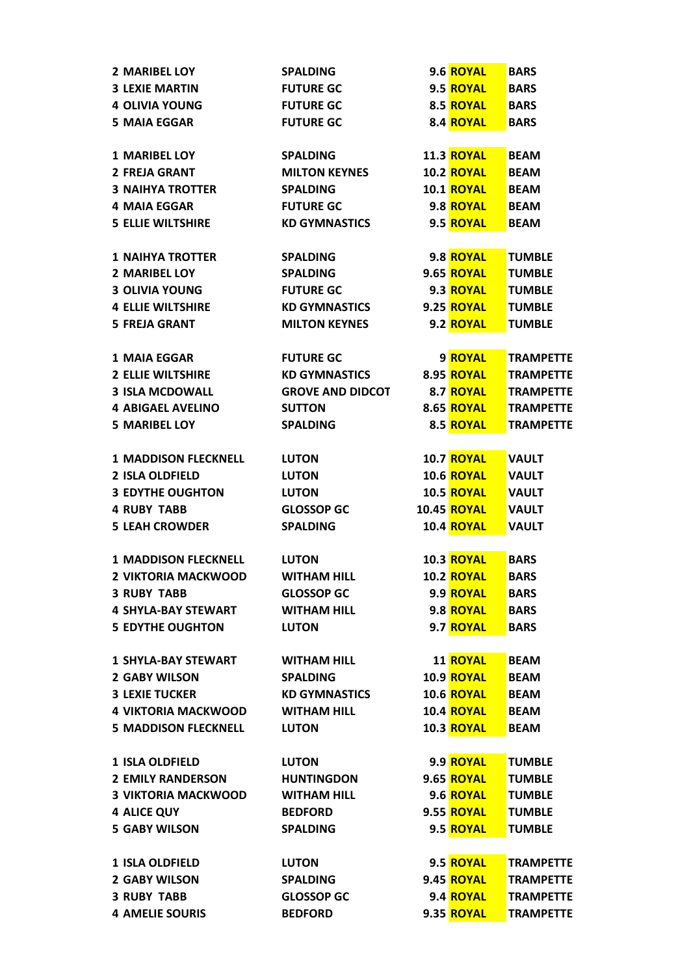| <b>2 MARIBEL LOY</b>        | <b>SPALDING</b>         | 9.6 ROYAL          | <b>BARS</b>      |
|-----------------------------|-------------------------|--------------------|------------------|
| <b>3 LEXIE MARTIN</b>       | <b>FUTURE GC</b>        | 9.5 ROYAL          | <b>BARS</b>      |
| <b>4 OLIVIA YOUNG</b>       | <b>FUTURE GC</b>        | 8.5 ROYAL          | <b>BARS</b>      |
| <b>5 MAIA EGGAR</b>         | <b>FUTURE GC</b>        | 8.4 ROYAL          | <b>BARS</b>      |
|                             |                         |                    |                  |
| <b>1 MARIBEL LOY</b>        | <b>SPALDING</b>         | <b>11.3 ROYAL</b>  | <b>BEAM</b>      |
| <b>2 FREJA GRANT</b>        | <b>MILTON KEYNES</b>    | <b>10.2 ROYAL</b>  | <b>BEAM</b>      |
| <b>3 NAIHYA TROTTER</b>     | <b>SPALDING</b>         | <b>10.1 ROYAL</b>  | <b>BEAM</b>      |
| <b>4 MAIA EGGAR</b>         | <b>FUTURE GC</b>        | 9.8 ROYAL          | <b>BEAM</b>      |
| <b>5 ELLIE WILTSHIRE</b>    | <b>KD GYMNASTICS</b>    | 9.5 ROYAL          | <b>BEAM</b>      |
|                             |                         |                    |                  |
| <b>1 NAIHYA TROTTER</b>     | <b>SPALDING</b>         | 9.8 ROYAL          | <b>TUMBLE</b>    |
| <b>2 MARIBEL LOY</b>        | <b>SPALDING</b>         | <b>9.65 ROYAL</b>  | <b>TUMBLE</b>    |
| <b>3 OLIVIA YOUNG</b>       | <b>FUTURE GC</b>        | 9.3 ROYAL          | <b>TUMBLE</b>    |
| <b>4 ELLIE WILTSHIRE</b>    | <b>KD GYMNASTICS</b>    | <b>9.25 ROYAL</b>  | <b>TUMBLE</b>    |
| <b>5 FREJA GRANT</b>        | <b>MILTON KEYNES</b>    | 9.2 ROYAL          | <b>TUMBLE</b>    |
|                             |                         |                    |                  |
| <b>1 MAIA EGGAR</b>         | <b>FUTURE GC</b>        | 9 ROYAL            | <b>TRAMPETTE</b> |
| <b>2 ELLIE WILTSHIRE</b>    | <b>KD GYMNASTICS</b>    | 8.95 ROYAL         | <b>TRAMPETTE</b> |
| <b>3 ISLA MCDOWALL</b>      | <b>GROVE AND DIDCOT</b> | 8.7 ROYAL          | <b>TRAMPETTE</b> |
| <b>4 ABIGAEL AVELINO</b>    | <b>SUTTON</b>           | <b>8.65 ROYAL</b>  | <b>TRAMPETTE</b> |
| <b>5 MARIBEL LOY</b>        | <b>SPALDING</b>         | 8.5 ROYAL          | <b>TRAMPETTE</b> |
|                             |                         |                    |                  |
| <b>1 MADDISON FLECKNELL</b> | <b>LUTON</b>            | <b>10.7 ROYAL</b>  | <b>VAULT</b>     |
| <b>2 ISLA OLDFIELD</b>      | <b>LUTON</b>            | <b>10.6 ROYAL</b>  | <b>VAULT</b>     |
| <b>3 EDYTHE OUGHTON</b>     | <b>LUTON</b>            | <b>10.5 ROYAL</b>  | <b>VAULT</b>     |
| <b>4 RUBY TABB</b>          | <b>GLOSSOP GC</b>       | <b>10.45 ROYAL</b> | <b>VAULT</b>     |
| <b>5 LEAH CROWDER</b>       | <b>SPALDING</b>         | <b>10.4 ROYAL</b>  | <b>VAULT</b>     |
|                             |                         |                    |                  |
| <b>1 MADDISON FLECKNELL</b> | <b>LUTON</b>            | <b>10.3 ROYAL</b>  | <b>BARS</b>      |
| <b>2 VIKTORIA MACKWOOD</b>  | <b>WITHAM HILL</b>      | <b>10.2 ROYAL</b>  | <b>BARS</b>      |
| <b>3 RUBY TABB</b>          | <b>GLOSSOP GC</b>       | 9.9 ROYAL          | <b>BARS</b>      |
| <b>4 SHYLA-BAY STEWART</b>  | <b>WITHAM HILL</b>      | 9.8 ROYAL          | <b>BARS</b>      |
| <b>5 EDYTHE OUGHTON</b>     | <b>LUTON</b>            | 9.7 ROYAL          | <b>BARS</b>      |
|                             |                         |                    |                  |
| <b>1 SHYLA-BAY STEWART</b>  | <b>WITHAM HILL</b>      | 11 ROYAL           | <b>BEAM</b>      |
| <b>2 GABY WILSON</b>        | <b>SPALDING</b>         | <b>10.9 ROYAL</b>  | <b>BEAM</b>      |
| <b>3 LEXIE TUCKER</b>       | <b>KD GYMNASTICS</b>    | <b>10.6 ROYAL</b>  | <b>BEAM</b>      |
| <b>4 VIKTORIA MACKWOOD</b>  | <b>WITHAM HILL</b>      | <b>10.4 ROYAL</b>  | <b>BEAM</b>      |
| <b>5 MADDISON FLECKNELL</b> | <b>LUTON</b>            | <b>10.3 ROYAL</b>  | <b>BEAM</b>      |
|                             |                         |                    |                  |
| <b>1 ISLA OLDFIELD</b>      | <b>LUTON</b>            | 9.9 ROYAL          | <b>TUMBLE</b>    |
| <b>2 EMILY RANDERSON</b>    | <b>HUNTINGDON</b>       | <b>9.65 ROYAL</b>  | <b>TUMBLE</b>    |
| <b>3 VIKTORIA MACKWOOD</b>  | <b>WITHAM HILL</b>      | 9.6 ROYAL          | <b>TUMBLE</b>    |
| <b>4 ALICE QUY</b>          | <b>BEDFORD</b>          | 9.55 ROYAL         | <b>TUMBLE</b>    |
| <b>5 GABY WILSON</b>        | <b>SPALDING</b>         | 9.5 ROYAL          | <b>TUMBLE</b>    |
|                             |                         |                    |                  |
| <b>1 ISLA OLDFIELD</b>      | <b>LUTON</b>            | 9.5 ROYAL          | <b>TRAMPETTE</b> |
| <b>2 GABY WILSON</b>        | <b>SPALDING</b>         | <b>9.45 ROYAL</b>  | <b>TRAMPETTE</b> |
| <b>3 RUBY TABB</b>          | <b>GLOSSOP GC</b>       | 9.4 ROYAL          | <b>TRAMPETTE</b> |
| <b>4 AMELIE SOURIS</b>      | <b>BEDFORD</b>          | 9.35 ROYAL         | <b>TRAMPETTE</b> |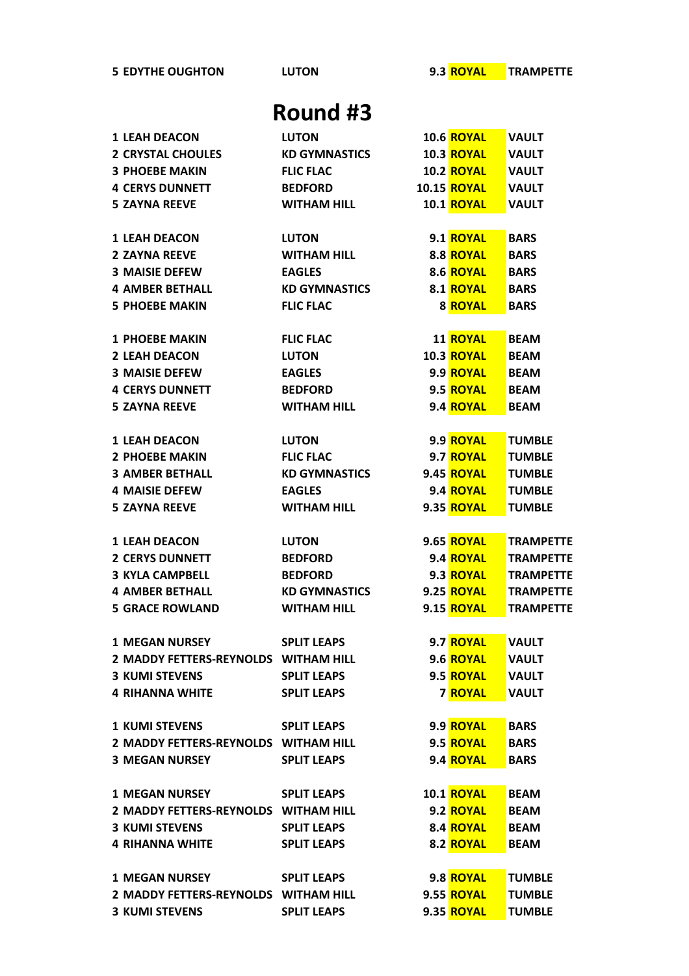**EDYTHE OUGHTON LUTON 9.3 ROYAL TRAMPETTE**

| <b>1 LEAH DEACON</b>                            | <b>LUTON</b>                          | <b>10.6 ROYAL</b>           | <b>VAULT</b>     |
|-------------------------------------------------|---------------------------------------|-----------------------------|------------------|
| <b>2 CRYSTAL CHOULES</b>                        | <b>KD GYMNASTICS</b>                  | <b>10.3 ROYAL</b>           | <b>VAULT</b>     |
| <b>3 PHOEBE MAKIN</b>                           | <b>FLIC FLAC</b>                      | <b>10.2 ROYAL</b>           | <b>VAULT</b>     |
| <b>4 CERYS DUNNETT</b>                          | <b>BEDFORD</b>                        | <b>10.15 ROYAL</b>          | <b>VAULT</b>     |
| <b>5 ZAYNA REEVE</b>                            | <b>WITHAM HILL</b>                    | <b>10.1 ROYAL</b>           | <b>VAULT</b>     |
| <b>1 LEAH DEACON</b>                            | <b>LUTON</b>                          | 9.1 ROYAL                   | <b>BARS</b>      |
| <b>2 ZAYNA REEVE</b>                            | <b>WITHAM HILL</b>                    | 8.8 ROYAL                   |                  |
| <b>3 MAISIE DEFEW</b>                           |                                       | 8.6 ROYAL                   | <b>BARS</b>      |
| <b>4 AMBER BETHALL</b>                          | <b>EAGLES</b><br><b>KD GYMNASTICS</b> |                             | <b>BARS</b>      |
|                                                 |                                       | 8.1 ROYAL                   | <b>BARS</b>      |
| <b>5 PHOEBE MAKIN</b>                           | <b>FLIC FLAC</b>                      | <b>8 ROYAL</b>              | <b>BARS</b>      |
| <b>1 PHOEBE MAKIN</b>                           | <b>FLIC FLAC</b>                      | <b>11 ROYAL</b>             | <b>BEAM</b>      |
| <b>2 LEAH DEACON</b>                            | <b>LUTON</b>                          | <b>10.3 ROYAL</b>           | <b>BEAM</b>      |
| <b>3 MAISIE DEFEW</b>                           | <b>EAGLES</b>                         | 9.9 ROYAL                   | <b>BEAM</b>      |
| <b>4 CERYS DUNNETT</b>                          | <b>BEDFORD</b>                        | 9.5 ROYAL                   | <b>BEAM</b>      |
| <b>5 ZAYNA REEVE</b>                            | <b>WITHAM HILL</b>                    | 9.4 ROYAL                   | <b>BEAM</b>      |
|                                                 |                                       |                             |                  |
| <b>1 LEAH DEACON</b>                            | <b>LUTON</b>                          | 9.9 ROYAL                   | <b>TUMBLE</b>    |
| <b>2 PHOEBE MAKIN</b>                           | <b>FLIC FLAC</b>                      | 9.7 ROYAL                   | <b>TUMBLE</b>    |
| <b>3 AMBER BETHALL</b>                          | <b>KD GYMNASTICS</b>                  | 9.45 ROYAL                  | <b>TUMBLE</b>    |
| <b>4 MAISIE DEFEW</b>                           | <b>EAGLES</b>                         | 9.4 ROYAL                   | <b>TUMBLE</b>    |
| <b>5 ZAYNA REEVE</b>                            | <b>WITHAM HILL</b>                    | 9.35 ROYAL                  | <b>TUMBLE</b>    |
| <b>1 LEAH DEACON</b>                            | <b>LUTON</b>                          | <b>9.65 ROYAL</b>           | <b>TRAMPETTE</b> |
| <b>2 CERYS DUNNETT</b>                          | <b>BEDFORD</b>                        | 9.4 ROYAL                   | <b>TRAMPETTE</b> |
| <b>3 KYLA CAMPBELL</b>                          | <b>BEDFORD</b>                        | 9.3 ROYAL                   | <b>TRAMPETTE</b> |
| <b>4 AMBER BETHALL</b>                          | <b>KD GYMNASTICS</b>                  | 9.25 <b>ROYAL</b>           | <b>TRAMPETTE</b> |
| <b>5 GRACE ROWLAND</b>                          | <b>WITHAM HILL</b>                    | 9.15 ROYAL                  | <b>TRAMPETTE</b> |
|                                                 |                                       |                             |                  |
| <b>1 MEGAN NURSEY</b>                           | <b>SPLIT LEAPS</b>                    | 9.7 ROYAL                   | <b>VAULT</b>     |
| 2 MADDY FETTERS-REYNOLDS WITHAM HILL            |                                       | 9.6 ROYAL VAULT             |                  |
| 3 KUMI STEVENS                                  | <b>SPLIT LEAPS</b>                    | 9.5 ROYAL VAULT             |                  |
| 4 RIHANNA WHITE SPLIT LEAPS                     |                                       | <b>7 ROYAL</b>              | <b>VAULT</b>     |
| 1 KUMI STEVENS SPLIT LEAPS                      |                                       | 9.9 <mark>ROYAL</mark>      | <b>BARS</b>      |
| 2 MADDY FETTERS-REYNOLDS WITHAM HILL            |                                       | 9.5 <mark>ROYAL BARS</mark> |                  |
| <b>3 MEGAN NURSEY</b>                           | <b>SPLIT LEAPS</b>                    | 9.4 <mark>ROYAL</mark>      | <b>BARS</b>      |
|                                                 |                                       |                             |                  |
| 1 MEGAN NURSEY SPLIT LEAPS                      |                                       | <b>10.1 ROYAL</b>           | <b>BEAM</b>      |
| 2 MADDY FETTERS-REYNOLDS WITHAM HILL            |                                       | 9.2 <mark>ROYAL</mark>      | <b>BEAM</b>      |
| <b>3 KUMI STEVENS</b>                           | <b>SPLIT LEAPS</b>                    | 8.4 <mark>ROYAL BEAM</mark> |                  |
| <b>4 RIHANNA WHITE</b>                          | <b>SPLIT LEAPS</b>                    | 8.2 ROYAL                   | <b>BEAM</b>      |
| 1 MEGAN NURSEY SPLIT LEAPS                      |                                       | 9.8 <mark>ROYAL</mark>      | <b>TUMBLE</b>    |
| 2 MADDY FETTERS-REYNOLDS WITHAM HILL 9.55 ROYAL |                                       |                             | <b>TUMBLE</b>    |
| <b>3 KUMI STEVENS</b>                           | <b>SPLIT LEAPS</b>                    | 9.35 ROYAL                  | <b>TUMBLE</b>    |
|                                                 |                                       |                             |                  |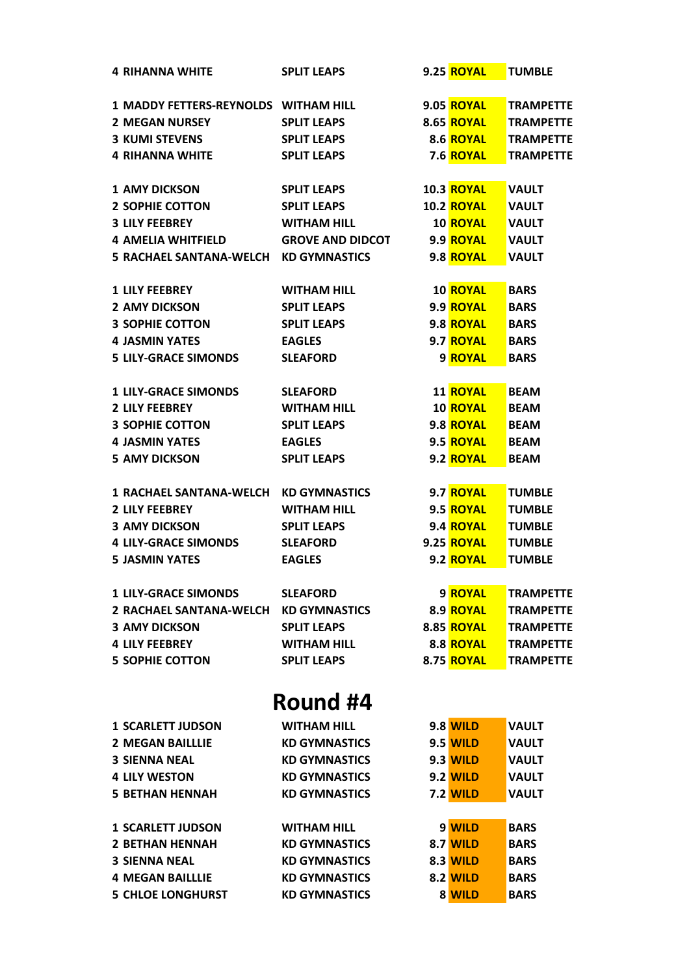| <b>4 RIHANNA WHITE</b>                | <b>SPLIT LEAPS</b>      | 9.25 ROYAL        | <b>TUMBLE</b>    |
|---------------------------------------|-------------------------|-------------------|------------------|
| 1 MADDY FETTERS-REYNOLDS WITHAM HILL  |                         | <b>9.05 ROYAL</b> | <b>TRAMPETTE</b> |
| <b>2 MEGAN NURSEY</b>                 | <b>SPLIT LEAPS</b>      | <b>8.65 ROYAL</b> | <b>TRAMPETTE</b> |
| <b>3 KUMI STEVENS</b>                 | <b>SPLIT LEAPS</b>      | 8.6 ROYAL         | <b>TRAMPETTE</b> |
| <b>4 RIHANNA WHITE</b>                | <b>SPLIT LEAPS</b>      | 7.6 ROYAL         | <b>TRAMPETTE</b> |
|                                       |                         |                   |                  |
| <b>1 AMY DICKSON</b>                  | <b>SPLIT LEAPS</b>      | <b>10.3 ROYAL</b> | <b>VAULT</b>     |
| <b>2 SOPHIE COTTON</b>                | <b>SPLIT LEAPS</b>      | <b>10.2 ROYAL</b> | <b>VAULT</b>     |
| <b>3 LILY FEEBREY</b>                 | <b>WITHAM HILL</b>      | <b>10 ROYAL</b>   | <b>VAULT</b>     |
| <b>4 AMELIA WHITFIELD</b>             | <b>GROVE AND DIDCOT</b> | 9.9 ROYAL         | <b>VAULT</b>     |
| <b>5 RACHAEL SANTANA-WELCH</b>        | <b>KD GYMNASTICS</b>    | 9.8 ROYAL         | <b>VAULT</b>     |
| <b>1 LILY FEEBREY</b>                 | <b>WITHAM HILL</b>      | 10 ROYAL          | <b>BARS</b>      |
| <b>2 AMY DICKSON</b>                  | <b>SPLIT LEAPS</b>      | 9.9 ROYAL         | <b>BARS</b>      |
| <b>3 SOPHIE COTTON</b>                | <b>SPLIT LEAPS</b>      | 9.8 ROYAL         | <b>BARS</b>      |
| <b>4 JASMIN YATES</b>                 | <b>EAGLES</b>           | 9.7 ROYAL         | <b>BARS</b>      |
| <b>5 LILY-GRACE SIMONDS</b>           | <b>SLEAFORD</b>         | 9 ROYAL           | <b>BARS</b>      |
|                                       |                         |                   |                  |
| <b>1 LILY-GRACE SIMONDS</b>           | <b>SLEAFORD</b>         | <b>11 ROYAL</b>   | <b>BEAM</b>      |
| <b>2 LILY FEEBREY</b>                 | <b>WITHAM HILL</b>      | <b>10 ROYAL</b>   | <b>BEAM</b>      |
| <b>3 SOPHIE COTTON</b>                | <b>SPLIT LEAPS</b>      | 9.8 ROYAL         | <b>BEAM</b>      |
| <b>4 JASMIN YATES</b>                 | <b>EAGLES</b>           | 9.5 ROYAL         | <b>BEAM</b>      |
| <b>5 AMY DICKSON</b>                  | <b>SPLIT LEAPS</b>      | 9.2 ROYAL         | <b>BEAM</b>      |
|                                       |                         |                   |                  |
| <b>1 RACHAEL SANTANA-WELCH</b>        | <b>KD GYMNASTICS</b>    | 9.7 ROYAL         | <b>TUMBLE</b>    |
| <b>2 LILY FEEBREY</b>                 | <b>WITHAM HILL</b>      | 9.5 ROYAL         | <b>TUMBLE</b>    |
| <b>3 AMY DICKSON</b>                  | <b>SPLIT LEAPS</b>      | 9.4 ROYAL         | <b>TUMBLE</b>    |
| <b>4 LILY-GRACE SIMONDS</b>           | <b>SLEAFORD</b>         | 9.25 <b>ROYAL</b> | <b>TUMBLE</b>    |
| <b>5 JASMIN YATES</b>                 | <b>EAGLES</b>           | 9.2 ROYAL         | <b>TUMBLE</b>    |
| <b>1 LILY-GRACE SIMONDS</b>           | <b>SLEAFORD</b>         | 9 ROYAL           | <b>TRAMPETTE</b> |
| 2 RACHAEL SANTANA-WELCH KD GYMNASTICS |                         | 8.9 ROYAL         | <b>TRAMPETTE</b> |
| <b>3 AMY DICKSON</b>                  | <b>SPLIT LEAPS</b>      | 8.85 ROYAL        | <b>TRAMPETTE</b> |
| <b>4 LILY FEEBREY</b>                 | <b>WITHAM HILL</b>      | 8.8 ROYAL         | <b>TRAMPETTE</b> |
| <b>5 SOPHIE COTTON</b>                | <b>SPLIT LEAPS</b>      | 8.75 ROYAL        | <b>TRAMPETTE</b> |
|                                       |                         |                   |                  |
|                                       | Round #4                |                   |                  |
| <b>1 SCARLETT JUDSON</b>              | <b>WITHAM HILL</b>      | <b>9.8 WILD</b>   | <b>VAULT</b>     |
| <b>2 MEGAN BAILLLIE</b>               | <b>KD GYMNASTICS</b>    | <b>9.5 WILD</b>   | <b>VAULT</b>     |
| <b>3 SIENNA NEAL</b>                  | <b>KD GYMNASTICS</b>    | <b>9.3 WILD</b>   | <b>VAULT</b>     |
| <b>4 LILY WESTON</b>                  | <b>KD GYMNASTICS</b>    | <b>9.2 WILD</b>   | <b>VAULT</b>     |
| <b>5 BETHAN HENNAH</b>                | <b>KD GYMNASTICS</b>    | <b>7.2 WILD</b>   | <b>VAULT</b>     |
|                                       |                         |                   |                  |
| <b>1 SCARLETT JUDSON</b>              | <b>WITHAM HILL</b>      | 9 WILD            | <b>BARS</b>      |
| <b>2 BETHAN HENNAH</b>                | <b>KD GYMNASTICS</b>    | <b>8.7 WILD</b>   | <b>BARS</b>      |
| <b>3 SIENNA NEAL</b>                  | <b>KD GYMNASTICS</b>    | 8.3 WILD          | <b>BARS</b>      |
| <b>4 MEGAN BAILLLIE</b>               | <b>KD GYMNASTICS</b>    | <b>8.2 WILD</b>   | <b>BARS</b>      |
| <b>5 CHLOE LONGHURST</b>              | <b>KD GYMNASTICS</b>    | 8 WILD            | <b>BARS</b>      |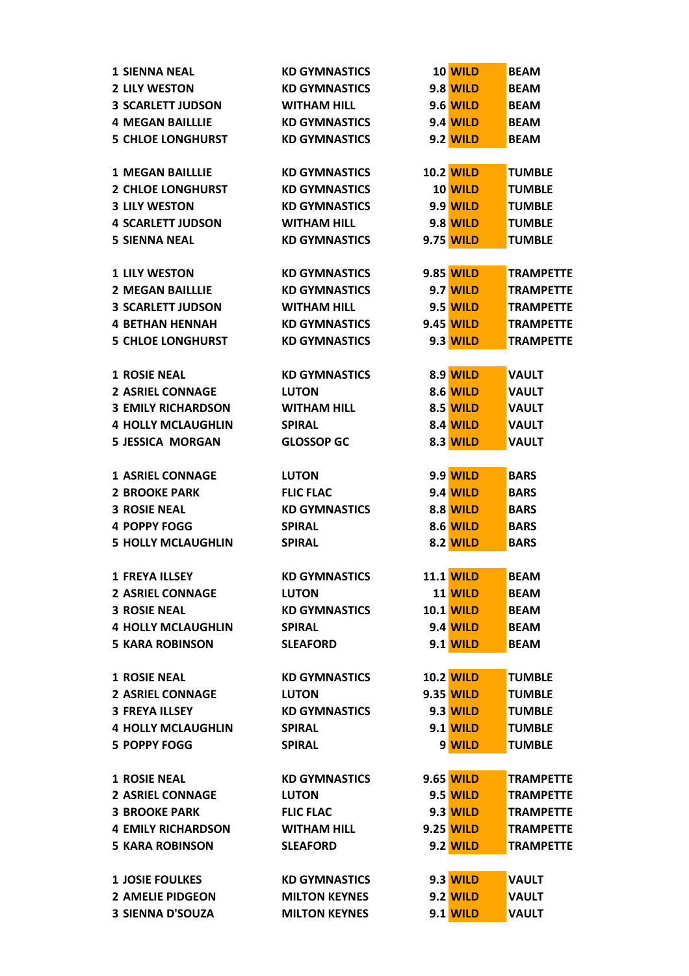| <b>1 SIENNA NEAL</b>      | <b>KD GYMNASTICS</b> | 10 WILD          | <b>BEAM</b>      |
|---------------------------|----------------------|------------------|------------------|
| <b>2 LILY WESTON</b>      | <b>KD GYMNASTICS</b> | <b>9.8 WILD</b>  | <b>BEAM</b>      |
| <b>3 SCARLETT JUDSON</b>  | <b>WITHAM HILL</b>   | <b>9.6 WILD</b>  | <b>BEAM</b>      |
| <b>4 MEGAN BAILLLIE</b>   | <b>KD GYMNASTICS</b> | <b>9.4 WILD</b>  | <b>BEAM</b>      |
| <b>5 CHLOE LONGHURST</b>  | <b>KD GYMNASTICS</b> | <b>9.2 WILD</b>  | <b>BEAM</b>      |
|                           |                      |                  |                  |
| <b>1 MEGAN BAILLLIE</b>   | <b>KD GYMNASTICS</b> | <b>10.2 WILD</b> | <b>TUMBLE</b>    |
| <b>2 CHLOE LONGHURST</b>  | <b>KD GYMNASTICS</b> | 10 WILD          | <b>TUMBLE</b>    |
| <b>3 LILY WESTON</b>      | <b>KD GYMNASTICS</b> | <b>9.9 WILD</b>  | <b>TUMBLE</b>    |
| <b>4 SCARLETT JUDSON</b>  | <b>WITHAM HILL</b>   | <b>9.8 WILD</b>  | <b>TUMBLE</b>    |
| <b>5 SIENNA NEAL</b>      | <b>KD GYMNASTICS</b> | 9.75 WILD        | <b>TUMBLE</b>    |
|                           |                      |                  |                  |
| <b>1 LILY WESTON</b>      | <b>KD GYMNASTICS</b> | 9.85 WILD        | <b>TRAMPETTE</b> |
| <b>2 MEGAN BAILLLIE</b>   | <b>KD GYMNASTICS</b> | 9.7 WILD         | <b>TRAMPETTE</b> |
| <b>3 SCARLETT JUDSON</b>  | <b>WITHAM HILL</b>   | <b>9.5 WILD</b>  | <b>TRAMPETTE</b> |
| <b>4 BETHAN HENNAH</b>    | <b>KD GYMNASTICS</b> | 9.45 WILD        | <b>TRAMPETTE</b> |
| <b>5 CHLOE LONGHURST</b>  | <b>KD GYMNASTICS</b> | <b>9.3 WILD</b>  | <b>TRAMPETTE</b> |
|                           |                      |                  |                  |
| <b>1 ROSIE NEAL</b>       | <b>KD GYMNASTICS</b> | 8.9 WILD         | <b>VAULT</b>     |
| <b>2 ASRIEL CONNAGE</b>   | <b>LUTON</b>         | <b>8.6 WILD</b>  | <b>VAULT</b>     |
| <b>3 EMILY RICHARDSON</b> | <b>WITHAM HILL</b>   | <b>8.5 WILD</b>  |                  |
|                           |                      |                  | <b>VAULT</b>     |
| <b>4 HOLLY MCLAUGHLIN</b> | <b>SPIRAL</b>        | <b>8.4 WILD</b>  | <b>VAULT</b>     |
| <b>5 JESSICA MORGAN</b>   | <b>GLOSSOP GC</b>    | <b>8.3 WILD</b>  | <b>VAULT</b>     |
| <b>1 ASRIEL CONNAGE</b>   | <b>LUTON</b>         | <b>9.9 WILD</b>  | <b>BARS</b>      |
| <b>2 BROOKE PARK</b>      | <b>FLIC FLAC</b>     | <b>9.4 WILD</b>  | <b>BARS</b>      |
| <b>3 ROSIE NEAL</b>       |                      | <b>8.8 WILD</b>  |                  |
|                           | <b>KD GYMNASTICS</b> |                  | <b>BARS</b>      |
| <b>4 POPPY FOGG</b>       | <b>SPIRAL</b>        | <b>8.6 WILD</b>  | <b>BARS</b>      |
| <b>5 HOLLY MCLAUGHLIN</b> | <b>SPIRAL</b>        | <b>8.2 WILD</b>  | <b>BARS</b>      |
| <b>1 FREYA ILLSEY</b>     | <b>KD GYMNASTICS</b> | <b>11.1 WILD</b> | <b>BEAM</b>      |
| <b>2 ASRIEL CONNAGE</b>   | <b>LUTON</b>         | 11 WILD          | <b>BEAM</b>      |
| <b>3 ROSIE NEAL</b>       | <b>KD GYMNASTICS</b> | <b>10.1 WILD</b> |                  |
|                           |                      |                  | <b>BEAM</b>      |
| <b>4 HOLLY MCLAUGHLIN</b> | <b>SPIRAL</b>        | <b>9.4 WILD</b>  | <b>BEAM</b>      |
| <b>5 KARA ROBINSON</b>    | <b>SLEAFORD</b>      | <b>9.1 WILD</b>  | <b>BEAM</b>      |
|                           |                      |                  |                  |
| <b>1 ROSIE NEAL</b>       | <b>KD GYMNASTICS</b> | <b>10.2 WILD</b> | <b>TUMBLE</b>    |
| <b>2 ASRIEL CONNAGE</b>   | <b>LUTON</b>         | 9.35 WILD        | <b>TUMBLE</b>    |
| <b>3 FREYA ILLSEY</b>     | <b>KD GYMNASTICS</b> | 9.3 WILD         | <b>TUMBLE</b>    |
| <b>4 HOLLY MCLAUGHLIN</b> | <b>SPIRAL</b>        | <b>9.1 WILD</b>  | <b>TUMBLE</b>    |
| <b>5 POPPY FOGG</b>       | <b>SPIRAL</b>        | 9 WILD           | <b>TUMBLE</b>    |
|                           |                      |                  |                  |
| <b>1 ROSIE NEAL</b>       | <b>KD GYMNASTICS</b> | 9.65 WILD        | <b>TRAMPETTE</b> |
| <b>2 ASRIEL CONNAGE</b>   | <b>LUTON</b>         | <b>9.5 WILD</b>  | <b>TRAMPETTE</b> |
| <b>3 BROOKE PARK</b>      | <b>FLIC FLAC</b>     | <b>9.3 WILD</b>  | <b>TRAMPETTE</b> |
| <b>4 EMILY RICHARDSON</b> | <b>WITHAM HILL</b>   | 9.25 WILD        | <b>TRAMPETTE</b> |
| <b>5 KARA ROBINSON</b>    | <b>SLEAFORD</b>      | <b>9.2 WILD</b>  | <b>TRAMPETTE</b> |
|                           |                      |                  |                  |
| <b>1 JOSIE FOULKES</b>    | <b>KD GYMNASTICS</b> | 9.3 WILD         | <b>VAULT</b>     |
| <b>2 AMELIE PIDGEON</b>   | <b>MILTON KEYNES</b> | <b>9.2 WILD</b>  | <b>VAULT</b>     |
| <b>3 SIENNA D'SOUZA</b>   | <b>MILTON KEYNES</b> | <b>9.1 WILD</b>  | <b>VAULT</b>     |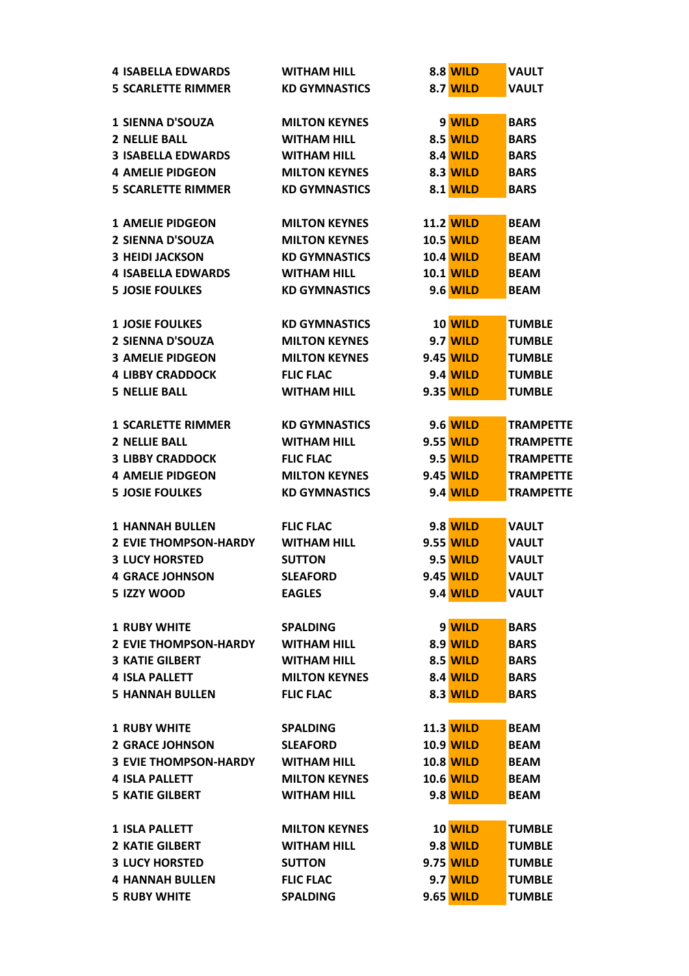| <b>4 ISABELLA EDWARDS</b>    | <b>WITHAM HILL</b>                           | <b>8.8 WILD</b>  | <b>VAULT</b>                         |
|------------------------------|----------------------------------------------|------------------|--------------------------------------|
| <b>5 SCARLETTE RIMMER</b>    | <b>KD GYMNASTICS</b>                         | <b>8.7 WILD</b>  | <b>VAULT</b>                         |
|                              |                                              |                  |                                      |
| <b>1 SIENNA D'SOUZA</b>      | <b>MILTON KEYNES</b>                         | 9 WILD           | <b>BARS</b>                          |
| <b>2 NELLIE BALL</b>         | <b>WITHAM HILL</b>                           | <b>8.5 WILD</b>  | <b>BARS</b>                          |
| <b>3 ISABELLA EDWARDS</b>    | <b>WITHAM HILL</b>                           | <b>8.4 WILD</b>  | <b>BARS</b>                          |
| <b>4 AMELIE PIDGEON</b>      | <b>MILTON KEYNES</b>                         | <b>8.3 WILD</b>  | <b>BARS</b>                          |
| <b>5 SCARLETTE RIMMER</b>    | <b>KD GYMNASTICS</b>                         | <b>8.1 WILD</b>  | <b>BARS</b>                          |
|                              |                                              |                  |                                      |
| <b>1 AMELIE PIDGEON</b>      | <b>MILTON KEYNES</b>                         | <b>11.2 WILD</b> | <b>BEAM</b>                          |
| <b>2 SIENNA D'SOUZA</b>      | <b>MILTON KEYNES</b>                         | <b>10.5 WILD</b> | <b>BEAM</b>                          |
| <b>3 HEIDI JACKSON</b>       | <b>KD GYMNASTICS</b>                         | <b>10.4 WILD</b> | <b>BEAM</b>                          |
| <b>4 ISABELLA EDWARDS</b>    | <b>WITHAM HILL</b>                           | <b>10.1 WILD</b> | <b>BEAM</b>                          |
| <b>5 JOSIE FOULKES</b>       | <b>KD GYMNASTICS</b>                         | 9.6 WILD         | <b>BEAM</b>                          |
|                              |                                              |                  |                                      |
| <b>1 JOSIE FOULKES</b>       | <b>KD GYMNASTICS</b>                         | 10 WILD          | <b>TUMBLE</b>                        |
| <b>2 SIENNA D'SOUZA</b>      | <b>MILTON KEYNES</b>                         | 9.7 WILD         | <b>TUMBLE</b>                        |
| <b>3 AMELIE PIDGEON</b>      | <b>MILTON KEYNES</b>                         | 9.45 WILD        | <b>TUMBLE</b>                        |
| <b>4 LIBBY CRADDOCK</b>      | <b>FLIC FLAC</b>                             | <b>9.4 WILD</b>  | <b>TUMBLE</b>                        |
| <b>5 NELLIE BALL</b>         | <b>WITHAM HILL</b>                           | 9.35 WILD        | <b>TUMBLE</b>                        |
|                              |                                              |                  |                                      |
| <b>1 SCARLETTE RIMMER</b>    | <b>KD GYMNASTICS</b>                         | <b>9.6 WILD</b>  | <b>TRAMPETTE</b>                     |
| <b>2 NELLIE BALL</b>         | <b>WITHAM HILL</b>                           | 9.55 WILD        | <b>TRAMPETTE</b>                     |
| <b>3 LIBBY CRADDOCK</b>      | <b>FLIC FLAC</b>                             | <b>9.5 WILD</b>  | <b>TRAMPETTE</b>                     |
| <b>4 AMELIE PIDGEON</b>      |                                              |                  |                                      |
| <b>5 JOSIE FOULKES</b>       | <b>MILTON KEYNES</b><br><b>KD GYMNASTICS</b> | 9.45 WILD        | <b>TRAMPETTE</b><br><b>TRAMPETTE</b> |
|                              |                                              | <b>9.4 WILD</b>  |                                      |
| <b>1 HANNAH BULLEN</b>       | <b>FLIC FLAC</b>                             | <b>9.8 WILD</b>  | <b>VAULT</b>                         |
| <b>2 EVIE THOMPSON-HARDY</b> | <b>WITHAM HILL</b>                           | 9.55 WILD        | <b>VAULT</b>                         |
| <b>3 LUCY HORSTED</b>        | <b>SUTTON</b>                                | <b>9.5 WILD</b>  | <b>VAULT</b>                         |
| <b>4 GRACE JOHNSON</b>       | <b>SLEAFORD</b>                              | <b>9.45 WILD</b> | <b>VAULT</b>                         |
| 5 IZZY WOOD                  | <b>EAGLES</b>                                | <b>9.4 WILD</b>  | <b>VAULT</b>                         |
|                              |                                              |                  |                                      |
| <b>1 RUBY WHITE</b>          | <b>SPALDING</b>                              | 9 WILD           | <b>BARS</b>                          |
| <b>2 EVIE THOMPSON-HARDY</b> | <b>WITHAM HILL</b>                           | 8.9 WILD         | <b>BARS</b>                          |
| <b>3 KATIE GILBERT</b>       | <b>WITHAM HILL</b>                           | <b>8.5 WILD</b>  | <b>BARS</b>                          |
| <b>4 ISLA PALLETT</b>        | <b>MILTON KEYNES</b>                         | <b>8.4 WILD</b>  | <b>BARS</b>                          |
| <b>5 HANNAH BULLEN</b>       | <b>FLIC FLAC</b>                             |                  | <b>BARS</b>                          |
|                              |                                              | <b>8.3 WILD</b>  |                                      |
| <b>1 RUBY WHITE</b>          | <b>SPALDING</b>                              | <b>11.3 WILD</b> | <b>BEAM</b>                          |
|                              |                                              |                  |                                      |
| <b>2 GRACE JOHNSON</b>       | <b>SLEAFORD</b>                              | <b>10.9 WILD</b> | <b>BEAM</b>                          |
| <b>3 EVIE THOMPSON-HARDY</b> | <b>WITHAM HILL</b>                           | <b>10.8 WILD</b> | <b>BEAM</b>                          |
| <b>4 ISLA PALLETT</b>        | <b>MILTON KEYNES</b>                         | <b>10.6 WILD</b> | <b>BEAM</b>                          |
| <b>5 KATIE GILBERT</b>       | <b>WITHAM HILL</b>                           | <b>9.8 WILD</b>  | <b>BEAM</b>                          |
|                              |                                              |                  |                                      |
| <b>1 ISLA PALLETT</b>        | <b>MILTON KEYNES</b>                         | 10 WILD          | <b>TUMBLE</b>                        |
| <b>2 KATIE GILBERT</b>       | <b>WITHAM HILL</b>                           | <b>9.8 WILD</b>  | <b>TUMBLE</b>                        |
| <b>3 LUCY HORSTED</b>        | <b>SUTTON</b>                                | 9.75 WILD        | <b>TUMBLE</b>                        |
| <b>4 HANNAH BULLEN</b>       | <b>FLIC FLAC</b>                             | 9.7 WILD         | <b>TUMBLE</b>                        |
| <b>5 RUBY WHITE</b>          | <b>SPALDING</b>                              | 9.65 WILD        | <b>TUMBLE</b>                        |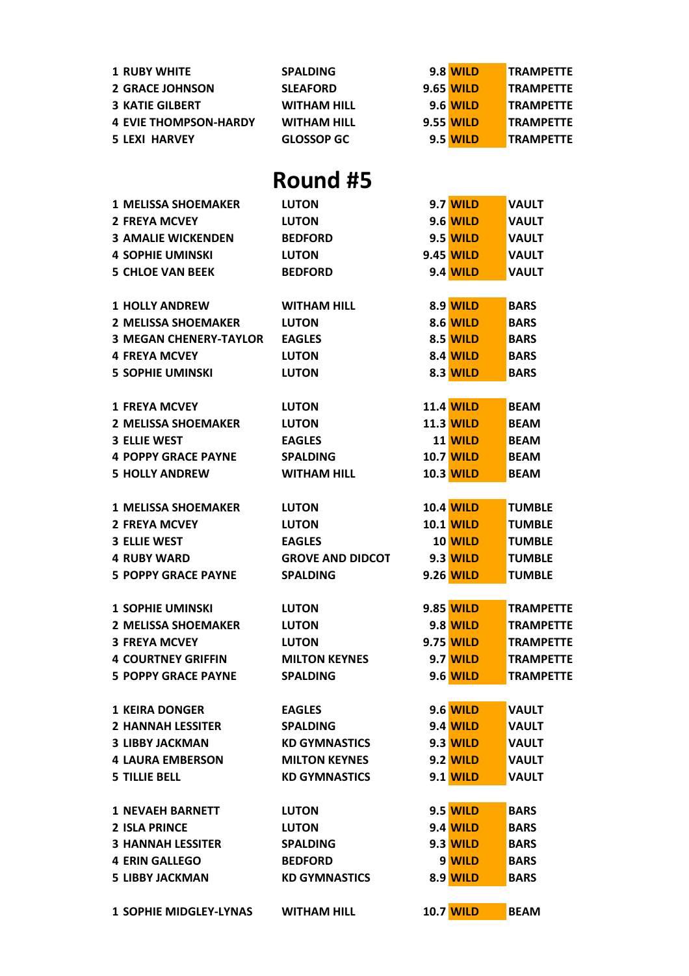| <b>1 RUBY WHITE</b>           | <b>SPALDING</b>         | 9.8 WILD         | <b>TRAMPETTE</b> |
|-------------------------------|-------------------------|------------------|------------------|
| <b>2 GRACE JOHNSON</b>        | <b>SLEAFORD</b>         | 9.65 WILD        | <b>TRAMPETTE</b> |
| <b>3 KATIE GILBERT</b>        | <b>WITHAM HILL</b>      | <b>9.6 WILD</b>  | <b>TRAMPETTE</b> |
| <b>4 EVIE THOMPSON-HARDY</b>  | <b>WITHAM HILL</b>      | 9.55 WILD        | <b>TRAMPETTE</b> |
| <b>5 LEXI HARVEY</b>          | <b>GLOSSOP GC</b>       | 9.5 WILD         | <b>TRAMPETTE</b> |
|                               |                         |                  |                  |
|                               | Round #5                |                  |                  |
| <b>1 MELISSA SHOEMAKER</b>    | <b>LUTON</b>            | <b>9.7 WILD</b>  | <b>VAULT</b>     |
| <b>2 FREYA MCVEY</b>          | <b>LUTON</b>            | 9.6 WILD         | <b>VAULT</b>     |
| <b>3 AMALIE WICKENDEN</b>     | <b>BEDFORD</b>          | <b>9.5 WILD</b>  | <b>VAULT</b>     |
| <b>4 SOPHIE UMINSKI</b>       | <b>LUTON</b>            | 9.45 WILD        | <b>VAULT</b>     |
| <b>5 CHLOE VAN BEEK</b>       | <b>BEDFORD</b>          | <b>9.4 WILD</b>  | <b>VAULT</b>     |
|                               |                         |                  |                  |
| <b>1 HOLLY ANDREW</b>         | <b>WITHAM HILL</b>      | <b>8.9 WILD</b>  | <b>BARS</b>      |
| <b>2 MELISSA SHOEMAKER</b>    | <b>LUTON</b>            | <b>8.6 WILD</b>  | <b>BARS</b>      |
| <b>3 MEGAN CHENERY-TAYLOR</b> | <b>EAGLES</b>           | 8.5 WILD         | <b>BARS</b>      |
| <b>4 FREYA MCVEY</b>          | <b>LUTON</b>            | <b>8.4 WILD</b>  | <b>BARS</b>      |
| <b>5 SOPHIE UMINSKI</b>       | <b>LUTON</b>            | <b>8.3 WILD</b>  | <b>BARS</b>      |
|                               |                         |                  |                  |
| <b>1 FREYA MCVEY</b>          | <b>LUTON</b>            | <b>11.4 WILD</b> | <b>BEAM</b>      |
| <b>2 MELISSA SHOEMAKER</b>    | <b>LUTON</b>            | <b>11.3 WILD</b> | <b>BEAM</b>      |
| <b>3 ELLIE WEST</b>           | <b>EAGLES</b>           | 11 WILD          | <b>BEAM</b>      |
| <b>4 POPPY GRACE PAYNE</b>    | <b>SPALDING</b>         | <b>10.7 WILD</b> | <b>BEAM</b>      |
| <b>5 HOLLY ANDREW</b>         | <b>WITHAM HILL</b>      | <b>10.3 WILD</b> | <b>BEAM</b>      |
|                               |                         |                  |                  |
| <b>1 MELISSA SHOEMAKER</b>    | <b>LUTON</b>            | <b>10.4 WILD</b> | <b>TUMBLE</b>    |
| <b>2 FREYA MCVEY</b>          | <b>LUTON</b>            | <b>10.1 WILD</b> | <b>TUMBLE</b>    |
| <b>3 ELLIE WEST</b>           | <b>EAGLES</b>           | 10 WILD          | <b>TUMBLE</b>    |
| <b>4 RUBY WARD</b>            | <b>GROVE AND DIDCOT</b> | <b>9.3 WILD</b>  | <b>TUMBLE</b>    |
| <b>5 POPPY GRACE PAYNE</b>    | <b>SPALDING</b>         | 9.26 WILD        | <b>TUMBLE</b>    |
|                               |                         |                  |                  |
| <b>1 SOPHIE UMINSKI</b>       | <b>LUTON</b>            | 9.85 WILD        | <b>TRAMPETTE</b> |
| <b>2 MELISSA SHOEMAKER</b>    | <b>LUTON</b>            | 9.8 WILD         | <b>TRAMPETTE</b> |
| <b>3 FREYA MCVEY</b>          | <b>LUTON</b>            | 9.75 WILD        | <b>TRAMPETTE</b> |
| <b>4 COURTNEY GRIFFIN</b>     | <b>MILTON KEYNES</b>    | <b>9.7 WILD</b>  | <b>TRAMPETTE</b> |
| <b>5 POPPY GRACE PAYNE</b>    | <b>SPALDING</b>         | <b>9.6 WILD</b>  | <b>TRAMPETTE</b> |
| <b>1 KEIRA DONGER</b>         | <b>EAGLES</b>           | <b>9.6 WILD</b>  | <b>VAULT</b>     |
| <b>2 HANNAH LESSITER</b>      | <b>SPALDING</b>         | 9.4 WILD         | <b>VAULT</b>     |
| <b>3 LIBBY JACKMAN</b>        | <b>KD GYMNASTICS</b>    | <b>9.3 WILD</b>  | <b>VAULT</b>     |
| <b>4 LAURA EMBERSON</b>       | <b>MILTON KEYNES</b>    | <b>9.2 WILD</b>  | <b>VAULT</b>     |
| <b>5 TILLIE BELL</b>          | <b>KD GYMNASTICS</b>    | <b>9.1 WILD</b>  | <b>VAULT</b>     |
|                               |                         |                  |                  |
| <b>1 NEVAEH BARNETT</b>       | <b>LUTON</b>            | <b>9.5 WILD</b>  | <b>BARS</b>      |
| <b>2 ISLA PRINCE</b>          | <b>LUTON</b>            | <b>9.4 WILD</b>  | <b>BARS</b>      |
| <b>3 HANNAH LESSITER</b>      | <b>SPALDING</b>         | <b>9.3 WILD</b>  | <b>BARS</b>      |
| <b>4 ERIN GALLEGO</b>         | <b>BEDFORD</b>          | 9 WILD           | <b>BARS</b>      |
| <b>5 LIBBY JACKMAN</b>        | <b>KD GYMNASTICS</b>    | 8.9 WILD         | <b>BARS</b>      |
|                               |                         |                  |                  |
| <b>1 SOPHIE MIDGLEY-LYNAS</b> | <b>WITHAM HILL</b>      | <b>10.7 WILD</b> | <b>BEAM</b>      |
|                               |                         |                  |                  |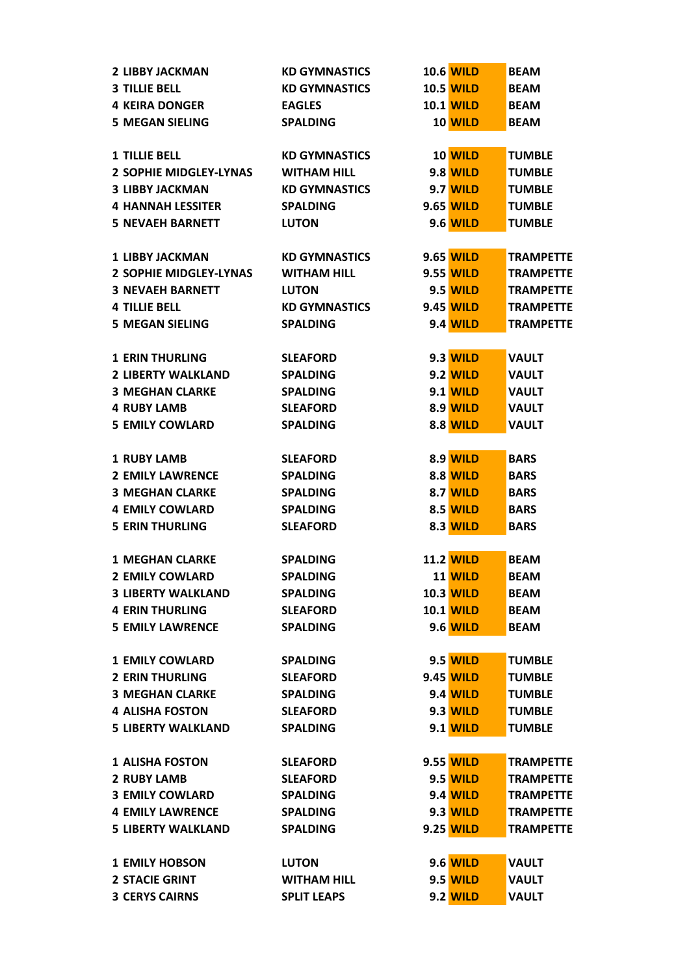| <b>2 LIBBY JACKMAN</b>        | <b>KD GYMNASTICS</b> | <b>10.6 WILD</b> | <b>BEAM</b>      |
|-------------------------------|----------------------|------------------|------------------|
| <b>3 TILLIE BELL</b>          | <b>KD GYMNASTICS</b> | <b>10.5 WILD</b> | <b>BEAM</b>      |
| <b>4 KEIRA DONGER</b>         | <b>EAGLES</b>        | <b>10.1 WILD</b> | <b>BEAM</b>      |
| <b>5 MEGAN SIELING</b>        | <b>SPALDING</b>      | 10 WILD          | <b>BEAM</b>      |
|                               |                      |                  |                  |
| <b>1 TILLIE BELL</b>          | <b>KD GYMNASTICS</b> | 10 WILD          | <b>TUMBLE</b>    |
| 2 SOPHIE MIDGLEY-LYNAS        | <b>WITHAM HILL</b>   | <b>9.8 WILD</b>  | <b>TUMBLE</b>    |
| <b>3 LIBBY JACKMAN</b>        | <b>KD GYMNASTICS</b> | <b>9.7 WILD</b>  | <b>TUMBLE</b>    |
| <b>4 HANNAH LESSITER</b>      | <b>SPALDING</b>      | 9.65 WILD        | <b>TUMBLE</b>    |
| <b>5 NEVAEH BARNETT</b>       | <b>LUTON</b>         | <b>9.6 WILD</b>  | <b>TUMBLE</b>    |
|                               |                      |                  |                  |
| <b>1 LIBBY JACKMAN</b>        | <b>KD GYMNASTICS</b> | 9.65 WILD        | <b>TRAMPETTE</b> |
| <b>2 SOPHIE MIDGLEY-LYNAS</b> | <b>WITHAM HILL</b>   | 9.55 WILD        | <b>TRAMPETTE</b> |
| <b>3 NEVAEH BARNETT</b>       | <b>LUTON</b>         | <b>9.5 WILD</b>  | <b>TRAMPETTE</b> |
| <b>4 TILLIE BELL</b>          | <b>KD GYMNASTICS</b> | 9.45 WILD        | <b>TRAMPETTE</b> |
| <b>5 MEGAN SIELING</b>        | <b>SPALDING</b>      | <b>9.4 WILD</b>  | <b>TRAMPETTE</b> |
|                               |                      |                  |                  |
| <b>1 ERIN THURLING</b>        | <b>SLEAFORD</b>      | <b>9.3 WILD</b>  | <b>VAULT</b>     |
| <b>2 LIBERTY WALKLAND</b>     | <b>SPALDING</b>      | <b>9.2 WILD</b>  | <b>VAULT</b>     |
| <b>3 MEGHAN CLARKE</b>        | <b>SPALDING</b>      | <b>9.1 WILD</b>  | <b>VAULT</b>     |
| <b>4 RUBY LAMB</b>            | <b>SLEAFORD</b>      | <b>8.9 WILD</b>  | <b>VAULT</b>     |
| <b>5 EMILY COWLARD</b>        | <b>SPALDING</b>      | <b>8.8 WILD</b>  | <b>VAULT</b>     |
|                               |                      |                  |                  |
| <b>1 RUBY LAMB</b>            | <b>SLEAFORD</b>      | <b>8.9 WILD</b>  | <b>BARS</b>      |
| <b>2 EMILY LAWRENCE</b>       | <b>SPALDING</b>      | <b>8.8 WILD</b>  | <b>BARS</b>      |
| <b>3 MEGHAN CLARKE</b>        | <b>SPALDING</b>      | <b>8.7 WILD</b>  | <b>BARS</b>      |
| <b>4 EMILY COWLARD</b>        | <b>SPALDING</b>      | 8.5 WILD         | <b>BARS</b>      |
| <b>5 ERIN THURLING</b>        | <b>SLEAFORD</b>      | 8.3 WILD         | <b>BARS</b>      |
|                               |                      |                  |                  |
| <b>1 MEGHAN CLARKE</b>        | <b>SPALDING</b>      | <b>11.2 WILD</b> | <b>BEAM</b>      |
| <b>2 EMILY COWLARD</b>        | <b>SPALDING</b>      | <b>11 WILD</b>   | <b>BEAM</b>      |
| <b>3 LIBERTY WALKLAND</b>     | <b>SPALDING</b>      | <b>10.3 WILD</b> | <b>BEAM</b>      |
| <b>4 ERIN THURLING</b>        | <b>SLEAFORD</b>      | <b>10.1 WILD</b> | <b>BEAM</b>      |
| <b>5 EMILY LAWRENCE</b>       | <b>SPALDING</b>      | <b>9.6 WILD</b>  | <b>BEAM</b>      |
|                               |                      |                  |                  |
| <b>1 EMILY COWLARD</b>        | <b>SPALDING</b>      | <b>9.5 WILD</b>  | <b>TUMBLE</b>    |
| <b>2 ERIN THURLING</b>        | <b>SLEAFORD</b>      | 9.45 WILD        | <b>TUMBLE</b>    |
| <b>3 MEGHAN CLARKE</b>        | <b>SPALDING</b>      | <b>9.4 WILD</b>  | <b>TUMBLE</b>    |
| <b>4 ALISHA FOSTON</b>        | <b>SLEAFORD</b>      | 9.3 WILD         | <b>TUMBLE</b>    |
| <b>5 LIBERTY WALKLAND</b>     | <b>SPALDING</b>      | <b>9.1 WILD</b>  | <b>TUMBLE</b>    |
|                               |                      |                  |                  |
| <b>1 ALISHA FOSTON</b>        | <b>SLEAFORD</b>      | 9.55 WILD        | <b>TRAMPETTE</b> |
| <b>2 RUBY LAMB</b>            | <b>SLEAFORD</b>      | <b>9.5 WILD</b>  | <b>TRAMPETTE</b> |
| <b>3 EMILY COWLARD</b>        | <b>SPALDING</b>      | <b>9.4 WILD</b>  | <b>TRAMPETTE</b> |
| <b>4 EMILY LAWRENCE</b>       | <b>SPALDING</b>      | <b>9.3 WILD</b>  | <b>TRAMPETTE</b> |
| <b>5 LIBERTY WALKLAND</b>     | <b>SPALDING</b>      | 9.25 WILD        | <b>TRAMPETTE</b> |
|                               |                      |                  |                  |
| <b>1 EMILY HOBSON</b>         | <b>LUTON</b>         | <b>9.6 WILD</b>  | <b>VAULT</b>     |
| <b>2 STACIE GRINT</b>         | <b>WITHAM HILL</b>   | <b>9.5 WILD</b>  | <b>VAULT</b>     |
| <b>3 CERYS CAIRNS</b>         | <b>SPLIT LEAPS</b>   | <b>9.2 WILD</b>  | <b>VAULT</b>     |
|                               |                      |                  |                  |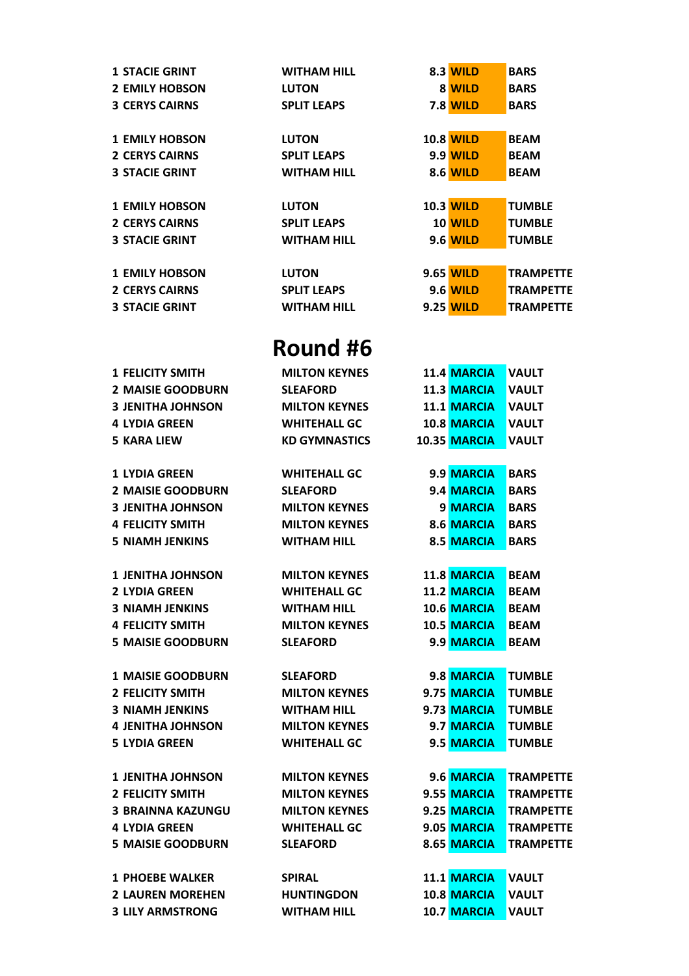| <b>1 STACIE GRINT</b> | <b>WITHAM HILL</b> | <b>8.3 WILD</b>  | <b>BARS</b>      |
|-----------------------|--------------------|------------------|------------------|
| <b>2 EMILY HOBSON</b> | <b>LUTON</b>       | 8 WILD           | <b>BARS</b>      |
| <b>3 CERYS CAIRNS</b> | <b>SPLIT LEAPS</b> | <b>7.8 WILD</b>  | <b>BARS</b>      |
|                       |                    |                  |                  |
| <b>1 EMILY HOBSON</b> | <b>LUTON</b>       | <b>10.8 WILD</b> | <b>BEAM</b>      |
| <b>2 CERYS CAIRNS</b> | <b>SPLIT LEAPS</b> | <b>9.9 WILD</b>  | <b>BEAM</b>      |
| <b>3 STACIE GRINT</b> | <b>WITHAM HILL</b> | <b>8.6 WILD</b>  | <b>BEAM</b>      |
|                       |                    |                  |                  |
| <b>1 EMILY HOBSON</b> | <b>LUTON</b>       | <b>10.3 WILD</b> | <b>TUMBLE</b>    |
| <b>2 CERYS CAIRNS</b> | <b>SPLIT LEAPS</b> | <b>10 WILD</b>   | <b>TUMBLE</b>    |
| <b>3 STACIE GRINT</b> | <b>WITHAM HILL</b> | <b>9.6 WILD</b>  | <b>TUMBLE</b>    |
|                       |                    |                  |                  |
| <b>1 EMILY HOBSON</b> | <b>LUTON</b>       | 9.65 WILD        | <b>TRAMPETTE</b> |
| <b>2 CERYS CAIRNS</b> | <b>SPLIT LEAPS</b> | <b>9.6 WILD</b>  | <b>TRAMPETTE</b> |
| <b>3 STACIE GRINT</b> | <b>WITHAM HILL</b> | <b>9.25 WILD</b> | <b>TRAMPETTE</b> |
|                       |                    |                  |                  |

| <b>1 FELICITY SMITH</b>  | <b>MILTON KEYNES</b> | 11.4 MARCIA        | <b>VAULT</b>     |
|--------------------------|----------------------|--------------------|------------------|
| <b>2 MAISIE GOODBURN</b> | <b>SLEAFORD</b>      | 11.3 MARCIA        | <b>VAULT</b>     |
| <b>3 JENITHA JOHNSON</b> | <b>MILTON KEYNES</b> | 11.1 MARCIA        | <b>VAULT</b>     |
| <b>4 LYDIA GREEN</b>     | <b>WHITEHALL GC</b>  | <b>10.8 MARCIA</b> | <b>VAULT</b>     |
| <b>5 KARA LIEW</b>       | <b>KD GYMNASTICS</b> | 10.35 MARCIA       | <b>VAULT</b>     |
| <b>1 LYDIA GREEN</b>     | <b>WHITEHALL GC</b>  | 9.9 MARCIA         | <b>BARS</b>      |
| <b>2 MAISIE GOODBURN</b> | <b>SLEAFORD</b>      | 9.4 MARCIA         | <b>BARS</b>      |
| <b>3 JENITHA JOHNSON</b> | <b>MILTON KEYNES</b> | 9 MARCIA           | <b>BARS</b>      |
| <b>4 FELICITY SMITH</b>  | <b>MILTON KEYNES</b> | 8.6 MARCIA         | <b>BARS</b>      |
| <b>5 NIAMH JENKINS</b>   | <b>WITHAM HILL</b>   | 8.5 MARCIA         | <b>BARS</b>      |
|                          |                      |                    |                  |
| <b>1 JENITHA JOHNSON</b> | <b>MILTON KEYNES</b> | 11.8 MARCIA        | <b>BEAM</b>      |
| <b>2 LYDIA GREEN</b>     | <b>WHITEHALL GC</b>  | 11.2 MARCIA        | <b>BEAM</b>      |
| <b>3 NIAMH JENKINS</b>   | <b>WITHAM HILL</b>   | 10.6 MARCIA        | <b>BEAM</b>      |
| <b>4 FELICITY SMITH</b>  | <b>MILTON KEYNES</b> | 10.5 MARCIA        | <b>BEAM</b>      |
| <b>5 MAISIE GOODBURN</b> | <b>SLEAFORD</b>      | 9.9 MARCIA         | <b>BEAM</b>      |
|                          |                      |                    |                  |
| <b>1 MAISIE GOODBURN</b> | <b>SLEAFORD</b>      | 9.8 MARCIA         | <b>TUMBLE</b>    |
| <b>2 FELICITY SMITH</b>  | <b>MILTON KEYNES</b> | 9.75 MARCIA        | <b>TUMBLE</b>    |
| <b>3 NIAMH JENKINS</b>   | <b>WITHAM HILL</b>   | 9.73 MARCIA        | <b>TUMBLE</b>    |
| <b>4 JENITHA JOHNSON</b> | <b>MILTON KEYNES</b> | 9.7 MARCIA         | <b>TUMBLE</b>    |
| <b>5 LYDIA GREEN</b>     | <b>WHITEHALL GC</b>  | 9.5 MARCIA         | <b>TUMBLE</b>    |
| <b>1 JENITHA JOHNSON</b> | <b>MILTON KEYNES</b> | 9.6 MARCIA         | <b>TRAMPETTE</b> |
| <b>2 FELICITY SMITH</b>  | <b>MILTON KEYNES</b> | 9.55 MARCIA        | <b>TRAMPETTE</b> |
| <b>3 BRAINNA KAZUNGU</b> | <b>MILTON KEYNES</b> | 9.25 MARCIA        | <b>TRAMPETTE</b> |
| <b>4 LYDIA GREEN</b>     | <b>WHITEHALL GC</b>  | 9.05 MARCIA        | <b>TRAMPETTE</b> |
| <b>5 MAISIE GOODBURN</b> | <b>SLEAFORD</b>      | 8.65 MARCIA        | <b>TRAMPETTE</b> |
|                          |                      |                    |                  |
| <b>1 PHOEBE WALKER</b>   | <b>SPIRAL</b>        | 11.1 MARCIA        | <b>VAULT</b>     |
| <b>2 LAUREN MOREHEN</b>  | <b>HUNTINGDON</b>    | 10.8 MARCIA        | <b>VAULT</b>     |
| <b>3 LILY ARMSTRONG</b>  | <b>WITHAM HILL</b>   | 10.7 MARCIA        | VAULT            |
|                          |                      |                    |                  |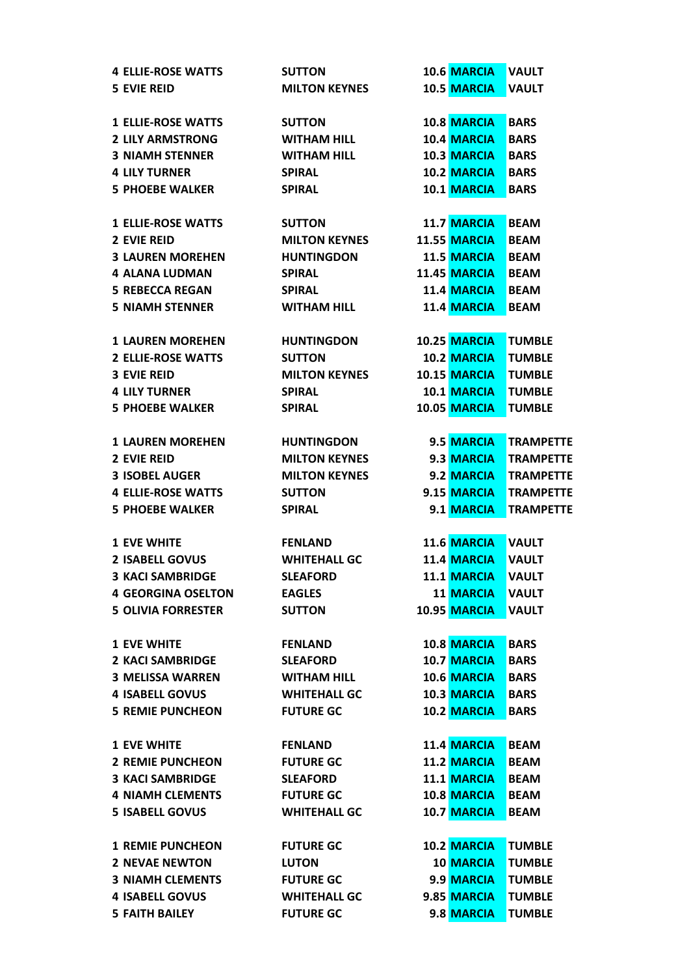| <b>4 ELLIE-ROSE WATTS</b> | <b>SUTTON</b>        | 10.6 MARCIA         | <b>VAULT</b>     |
|---------------------------|----------------------|---------------------|------------------|
| <b>5 EVIE REID</b>        | <b>MILTON KEYNES</b> | 10.5 MARCIA         | <b>VAULT</b>     |
|                           |                      |                     |                  |
| <b>1 ELLIE-ROSE WATTS</b> | <b>SUTTON</b>        | 10.8 MARCIA         | <b>BARS</b>      |
| <b>2 LILY ARMSTRONG</b>   | <b>WITHAM HILL</b>   | 10.4 MARCIA         | <b>BARS</b>      |
| <b>3 NIAMH STENNER</b>    | <b>WITHAM HILL</b>   | 10.3 MARCIA         | <b>BARS</b>      |
| <b>4 LILY TURNER</b>      | <b>SPIRAL</b>        | 10.2 MARCIA         | <b>BARS</b>      |
| <b>5 PHOEBE WALKER</b>    | <b>SPIRAL</b>        | 10.1 MARCIA         | <b>BARS</b>      |
|                           |                      |                     |                  |
| <b>1 ELLIE-ROSE WATTS</b> | <b>SUTTON</b>        | 11.7 MARCIA         | <b>BEAM</b>      |
| <b>2 EVIE REID</b>        | <b>MILTON KEYNES</b> | <b>11.55 MARCIA</b> | <b>BEAM</b>      |
| <b>3 LAUREN MOREHEN</b>   | <b>HUNTINGDON</b>    | 11.5 MARCIA         | <b>BEAM</b>      |
| <b>4 ALANA LUDMAN</b>     | <b>SPIRAL</b>        | 11.45 MARCIA        | <b>BEAM</b>      |
| <b>5 REBECCA REGAN</b>    | <b>SPIRAL</b>        | 11.4 MARCIA         | <b>BEAM</b>      |
| <b>5 NIAMH STENNER</b>    | <b>WITHAM HILL</b>   | 11.4 MARCIA         | <b>BEAM</b>      |
|                           |                      |                     |                  |
| <b>1 LAUREN MOREHEN</b>   | <b>HUNTINGDON</b>    | 10.25 MARCIA        | <b>TUMBLE</b>    |
| <b>2 ELLIE-ROSE WATTS</b> | <b>SUTTON</b>        | 10.2 MARCIA         | <b>TUMBLE</b>    |
| <b>3 EVIE REID</b>        | <b>MILTON KEYNES</b> | 10.15 MARCIA        | <b>TUMBLE</b>    |
|                           |                      |                     |                  |
| <b>4 LILY TURNER</b>      | <b>SPIRAL</b>        | 10.1 MARCIA         | <b>TUMBLE</b>    |
| <b>5 PHOEBE WALKER</b>    | <b>SPIRAL</b>        | 10.05 MARCIA        | <b>TUMBLE</b>    |
|                           |                      |                     |                  |
| <b>1 LAUREN MOREHEN</b>   | <b>HUNTINGDON</b>    | 9.5 MARCIA          | <b>TRAMPETTE</b> |
| <b>2 EVIE REID</b>        | <b>MILTON KEYNES</b> | 9.3 MARCIA          | <b>TRAMPETTE</b> |
| <b>3 ISOBEL AUGER</b>     | <b>MILTON KEYNES</b> | 9.2 MARCIA          | <b>TRAMPETTE</b> |
| <b>4 ELLIE-ROSE WATTS</b> | <b>SUTTON</b>        | 9.15 MARCIA         | <b>TRAMPETTE</b> |
| <b>5 PHOEBE WALKER</b>    | <b>SPIRAL</b>        | 9.1 MARCIA          | <b>TRAMPETTE</b> |
|                           |                      |                     |                  |
| <b>1 EVE WHITE</b>        | <b>FENLAND</b>       | 11.6 MARCIA         | <b>VAULT</b>     |
| <b>2 ISABELL GOVUS</b>    | <b>WHITEHALL GC</b>  | 11.4 MARCIA         | <b>VAULT</b>     |
| <b>3 KACI SAMBRIDGE</b>   | <b>SLEAFORD</b>      | 11.1 MARCIA         | <b>VAULT</b>     |
| <b>4 GEORGINA OSELTON</b> | <b>EAGLES</b>        | 11 MARCIA           | <b>VAULT</b>     |
| <b>5 OLIVIA FORRESTER</b> | <b>SUTTON</b>        | 10.95 MARCIA        | <b>VAULT</b>     |
|                           |                      |                     |                  |
| <b>1 EVE WHITE</b>        | <b>FENLAND</b>       | 10.8 MARCIA         | <b>BARS</b>      |
| <b>2 KACI SAMBRIDGE</b>   | <b>SLEAFORD</b>      | 10.7 MARCIA         | <b>BARS</b>      |
| <b>3 MELISSA WARREN</b>   | <b>WITHAM HILL</b>   | 10.6 MARCIA         | <b>BARS</b>      |
| <b>4 ISABELL GOVUS</b>    | <b>WHITEHALL GC</b>  | 10.3 MARCIA         | <b>BARS</b>      |
| <b>5 REMIE PUNCHEON</b>   | <b>FUTURE GC</b>     | 10.2 MARCIA         | <b>BARS</b>      |
|                           |                      |                     |                  |
| <b>1 EVE WHITE</b>        | <b>FENLAND</b>       | 11.4 MARCIA         | <b>BEAM</b>      |
| <b>2 REMIE PUNCHEON</b>   | <b>FUTURE GC</b>     | 11.2 MARCIA         | <b>BEAM</b>      |
| <b>3 KACI SAMBRIDGE</b>   | <b>SLEAFORD</b>      | 11.1 MARCIA         | <b>BEAM</b>      |
| <b>4 NIAMH CLEMENTS</b>   | <b>FUTURE GC</b>     | 10.8 MARCIA         | <b>BEAM</b>      |
| <b>5 ISABELL GOVUS</b>    | <b>WHITEHALL GC</b>  | 10.7 MARCIA         | <b>BEAM</b>      |
|                           |                      |                     |                  |
| <b>1 REMIE PUNCHEON</b>   | <b>FUTURE GC</b>     | 10.2 MARCIA         | <b>TUMBLE</b>    |
| <b>2 NEVAE NEWTON</b>     | <b>LUTON</b>         | <b>10 MARCIA</b>    | <b>TUMBLE</b>    |
| <b>3 NIAMH CLEMENTS</b>   | <b>FUTURE GC</b>     | 9.9 MARCIA          | <b>TUMBLE</b>    |
| <b>4 ISABELL GOVUS</b>    | <b>WHITEHALL GC</b>  | 9.85 MARCIA         | <b>TUMBLE</b>    |
| <b>5 FAITH BAILEY</b>     | <b>FUTURE GC</b>     | 9.8 MARCIA          | <b>TUMBLE</b>    |
|                           |                      |                     |                  |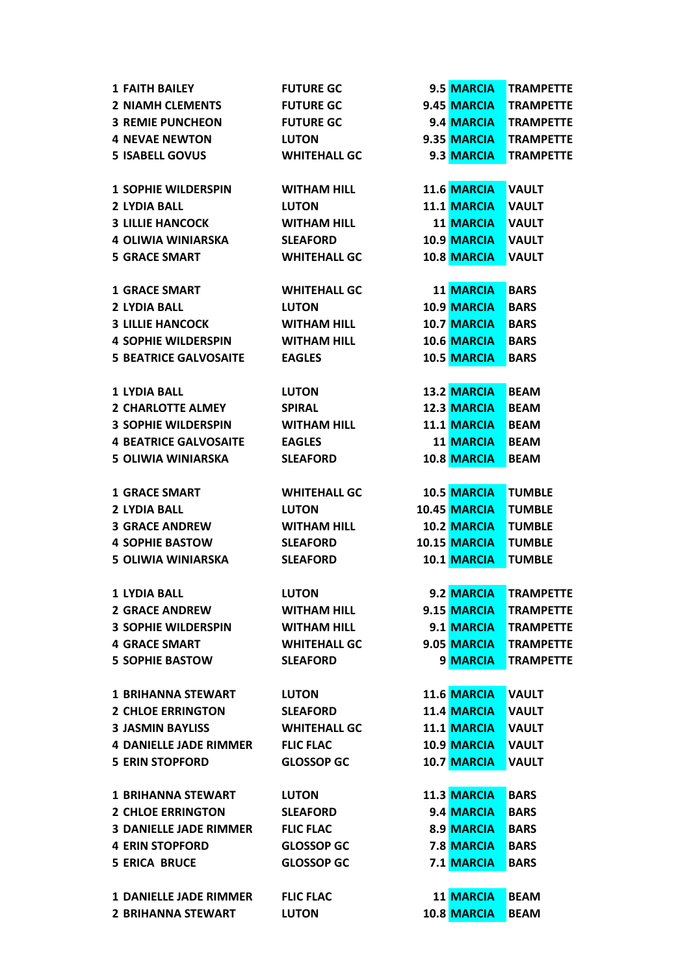| <b>1 FAITH BAILEY</b>         | <b>FUTURE GC</b>    | 9.5 MARCIA         | <b>TRAMPETTE</b> |
|-------------------------------|---------------------|--------------------|------------------|
| <b>2 NIAMH CLEMENTS</b>       | <b>FUTURE GC</b>    | 9.45 MARCIA        | <b>TRAMPETTE</b> |
| <b>3 REMIE PUNCHEON</b>       | <b>FUTURE GC</b>    | 9.4 MARCIA         | <b>TRAMPETTE</b> |
| <b>4 NEVAE NEWTON</b>         | <b>LUTON</b>        | 9.35 MARCIA        | <b>TRAMPETTE</b> |
| <b>5 ISABELL GOVUS</b>        | <b>WHITEHALL GC</b> | 9.3 MARCIA         | <b>TRAMPETTE</b> |
|                               |                     |                    |                  |
| <b>1 SOPHIE WILDERSPIN</b>    | <b>WITHAM HILL</b>  | 11.6 MARCIA        | <b>VAULT</b>     |
| 2 LYDIA BALL                  | <b>LUTON</b>        | <b>11.1 MARCIA</b> | <b>VAULT</b>     |
| <b>3 LILLIE HANCOCK</b>       | <b>WITHAM HILL</b>  | <b>11 MARCIA</b>   | <b>VAULT</b>     |
| 4 OLIWIA WINIARSKA            | <b>SLEAFORD</b>     | 10.9 MARCIA        | <b>VAULT</b>     |
| <b>5 GRACE SMART</b>          | <b>WHITEHALL GC</b> | 10.8 MARCIA        | <b>VAULT</b>     |
|                               |                     |                    |                  |
| <b>1 GRACE SMART</b>          | <b>WHITEHALL GC</b> | <b>11 MARCIA</b>   | <b>BARS</b>      |
| <b>2 LYDIA BALL</b>           | <b>LUTON</b>        | 10.9 MARCIA        | <b>BARS</b>      |
| <b>3 LILLIE HANCOCK</b>       | <b>WITHAM HILL</b>  | <b>10.7 MARCIA</b> | <b>BARS</b>      |
| <b>4 SOPHIE WILDERSPIN</b>    | <b>WITHAM HILL</b>  | 10.6 MARCIA        | <b>BARS</b>      |
|                               |                     | 10.5 MARCIA        |                  |
| <b>5 BEATRICE GALVOSAITE</b>  | <b>EAGLES</b>       |                    | <b>BARS</b>      |
| <b>1 LYDIA BALL</b>           | <b>LUTON</b>        | 13.2 MARCIA        | <b>BEAM</b>      |
|                               |                     |                    |                  |
| <b>2 CHARLOTTE ALMEY</b>      | <b>SPIRAL</b>       | <b>12.3 MARCIA</b> | <b>BEAM</b>      |
| <b>3 SOPHIE WILDERSPIN</b>    | <b>WITHAM HILL</b>  | <b>11.1 MARCIA</b> | <b>BEAM</b>      |
| <b>4 BEATRICE GALVOSAITE</b>  | <b>EAGLES</b>       | <b>11 MARCIA</b>   | <b>BEAM</b>      |
| <b>5 OLIWIA WINIARSKA</b>     | <b>SLEAFORD</b>     | 10.8 MARCIA        | <b>BEAM</b>      |
| <b>1 GRACE SMART</b>          | <b>WHITEHALL GC</b> | 10.5 MARCIA        | <b>TUMBLE</b>    |
| <b>2 LYDIA BALL</b>           | <b>LUTON</b>        | 10.45 MARCIA       | <b>TUMBLE</b>    |
|                               |                     | 10.2 MARCIA        |                  |
| <b>3 GRACE ANDREW</b>         | <b>WITHAM HILL</b>  |                    | <b>TUMBLE</b>    |
| <b>4 SOPHIE BASTOW</b>        | <b>SLEAFORD</b>     | 10.15 MARCIA       | <b>TUMBLE</b>    |
| <b>5 OLIWIA WINIARSKA</b>     | <b>SLEAFORD</b>     | 10.1 MARCIA        | <b>TUMBLE</b>    |
| <b>1 LYDIA BALL</b>           | <b>LUTON</b>        | 9.2 MARCIA         | <b>TRAMPETTE</b> |
| <b>2 GRACE ANDREW</b>         | <b>WITHAM HILL</b>  | 9.15 MARCIA        | <b>TRAMPETTE</b> |
| <b>3 SOPHIE WILDERSPIN</b>    | <b>WITHAM HILL</b>  | 9.1 MARCIA         | <b>TRAMPETTE</b> |
| <b>4 GRACE SMART</b>          | <b>WHITEHALL GC</b> | 9.05 MARCIA        | <b>TRAMPETTE</b> |
| <b>5 SOPHIE BASTOW</b>        | <b>SLEAFORD</b>     | 9 MARCIA           | <b>TRAMPETTE</b> |
|                               |                     |                    |                  |
| <b>1 BRIHANNA STEWART</b>     | <b>LUTON</b>        | 11.6 MARCIA        | <b>VAULT</b>     |
| <b>2 CHLOE ERRINGTON</b>      | <b>SLEAFORD</b>     | 11.4 MARCIA        | <b>VAULT</b>     |
| <b>3 JASMIN BAYLISS</b>       | <b>WHITEHALL GC</b> | 11.1 MARCIA        | <b>VAULT</b>     |
| <b>4 DANIELLE JADE RIMMER</b> | <b>FLIC FLAC</b>    | 10.9 MARCIA        | <b>VAULT</b>     |
| <b>5 ERIN STOPFORD</b>        | <b>GLOSSOP GC</b>   | 10.7 MARCIA        | <b>VAULT</b>     |
|                               |                     |                    |                  |
| <b>1 BRIHANNA STEWART</b>     | <b>LUTON</b>        | 11.3 MARCIA        | <b>BARS</b>      |
| <b>2 CHLOE ERRINGTON</b>      | <b>SLEAFORD</b>     | 9.4 MARCIA         | <b>BARS</b>      |
| <b>3 DANIELLE JADE RIMMER</b> | <b>FLIC FLAC</b>    | 8.9 MARCIA         | <b>BARS</b>      |
| <b>4 ERIN STOPFORD</b>        | <b>GLOSSOP GC</b>   | <b>7.8 MARCIA</b>  | <b>BARS</b>      |
| <b>5 ERICA BRUCE</b>          | <b>GLOSSOP GC</b>   | 7.1 MARCIA         | <b>BARS</b>      |
|                               |                     |                    |                  |
| <b>1 DANIELLE JADE RIMMER</b> | <b>FLIC FLAC</b>    | 11 MARCIA          | <b>BEAM</b>      |
| <b>2 BRIHANNA STEWART</b>     | <b>LUTON</b>        | 10.8 MARCIA        | <b>BEAM</b>      |
|                               |                     |                    |                  |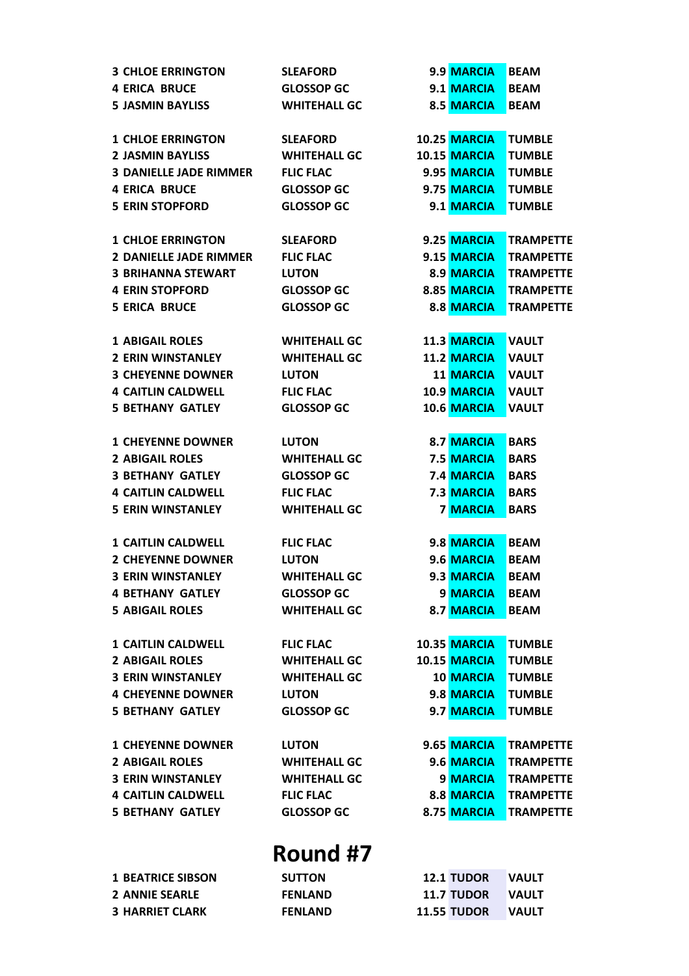| <b>3 CHLOE ERRINGTON</b>      | <b>SLEAFORD</b>     | 9.9 MARCIA         | <b>BEAM</b>      |
|-------------------------------|---------------------|--------------------|------------------|
| <b>4 ERICA BRUCE</b>          | <b>GLOSSOP GC</b>   | 9.1 MARCIA         | <b>BEAM</b>      |
| <b>5 JASMIN BAYLISS</b>       | <b>WHITEHALL GC</b> | 8.5 MARCIA         | <b>BEAM</b>      |
|                               |                     |                    |                  |
| <b>1 CHLOE ERRINGTON</b>      | <b>SLEAFORD</b>     | 10.25 MARCIA       | <b>TUMBLE</b>    |
| <b>2 JASMIN BAYLISS</b>       | <b>WHITEHALL GC</b> | 10.15 MARCIA       | <b>TUMBLE</b>    |
| <b>3 DANIELLE JADE RIMMER</b> | <b>FLIC FLAC</b>    | 9.95 MARCIA        | <b>TUMBLE</b>    |
| <b>4 ERICA BRUCE</b>          | <b>GLOSSOP GC</b>   | 9.75 MARCIA        | <b>TUMBLE</b>    |
| <b>5 ERIN STOPFORD</b>        | <b>GLOSSOP GC</b>   | 9.1 MARCIA         | <b>TUMBLE</b>    |
|                               |                     |                    |                  |
| <b>1 CHLOE ERRINGTON</b>      | <b>SLEAFORD</b>     | 9.25 MARCIA        | <b>TRAMPETTE</b> |
| <b>2 DANIELLE JADE RIMMER</b> | <b>FLIC FLAC</b>    | 9.15 MARCIA        | <b>TRAMPETTE</b> |
| <b>3 BRIHANNA STEWART</b>     | <b>LUTON</b>        | 8.9 MARCIA         | <b>TRAMPETTE</b> |
| <b>4 ERIN STOPFORD</b>        | <b>GLOSSOP GC</b>   | 8.85 MARCIA        | <b>TRAMPETTE</b> |
| <b>5 ERICA BRUCE</b>          | <b>GLOSSOP GC</b>   | 8.8 MARCIA         | <b>TRAMPETTE</b> |
|                               |                     |                    |                  |
| <b>1 ABIGAIL ROLES</b>        | <b>WHITEHALL GC</b> | 11.3 MARCIA        | <b>VAULT</b>     |
| <b>2 ERIN WINSTANLEY</b>      | <b>WHITEHALL GC</b> | <b>11.2 MARCIA</b> | <b>VAULT</b>     |
| <b>3 CHEYENNE DOWNER</b>      | <b>LUTON</b>        | <b>11 MARCIA</b>   | <b>VAULT</b>     |
| <b>4 CAITLIN CALDWELL</b>     | <b>FLIC FLAC</b>    | 10.9 MARCIA        | <b>VAULT</b>     |
| <b>5 BETHANY GATLEY</b>       | <b>GLOSSOP GC</b>   | 10.6 MARCIA        | <b>VAULT</b>     |
|                               |                     |                    |                  |
| <b>1 CHEYENNE DOWNER</b>      | <b>LUTON</b>        | 8.7 MARCIA         | <b>BARS</b>      |
| <b>2 ABIGAIL ROLES</b>        | <b>WHITEHALL GC</b> | 7.5 MARCIA         | <b>BARS</b>      |
| <b>3 BETHANY GATLEY</b>       | <b>GLOSSOP GC</b>   | <b>7.4 MARCIA</b>  | <b>BARS</b>      |
| <b>4 CAITLIN CALDWELL</b>     | <b>FLIC FLAC</b>    | 7.3 MARCIA         | <b>BARS</b>      |
| <b>5 ERIN WINSTANLEY</b>      | <b>WHITEHALL GC</b> | <b>7 MARCIA</b>    | <b>BARS</b>      |
|                               |                     |                    |                  |
| <b>1 CAITLIN CALDWELL</b>     | <b>FLIC FLAC</b>    | 9.8 MARCIA         | <b>BEAM</b>      |
| <b>2 CHEYENNE DOWNER</b>      | <b>LUTON</b>        | 9.6 MARCIA         | <b>BEAM</b>      |
| <b>3 ERIN WINSTANLEY</b>      | <b>WHITEHALL GC</b> | 9.3 MARCIA         | <b>BEAM</b>      |
| <b>4 BETHANY GATLEY</b>       | <b>GLOSSOP GC</b>   | 9 MARCIA           | <b>BEAM</b>      |
| <b>5 ABIGAIL ROLES</b>        | <b>WHITEHALL GC</b> | 8.7 MARCIA         | <b>BEAM</b>      |
|                               |                     |                    |                  |
| <b>1 CAITLIN CALDWELL</b>     | <b>FLIC FLAC</b>    | 10.35 MARCIA       | <b>TUMBLE</b>    |
| <b>2 ABIGAIL ROLES</b>        | <b>WHITEHALL GC</b> | 10.15 MARCIA       | <b>TUMBLE</b>    |
| <b>3 ERIN WINSTANLEY</b>      | <b>WHITEHALL GC</b> | <b>10 MARCIA</b>   | <b>TUMBLE</b>    |
| <b>4 CHEYENNE DOWNER</b>      | <b>LUTON</b>        | 9.8 MARCIA         | <b>TUMBLE</b>    |
| <b>5 BETHANY GATLEY</b>       | <b>GLOSSOP GC</b>   | 9.7 MARCIA         | <b>TUMBLE</b>    |
|                               |                     |                    |                  |
| <b>1 CHEYENNE DOWNER</b>      | <b>LUTON</b>        | 9.65 MARCIA        | <b>TRAMPETTE</b> |
| <b>2 ABIGAIL ROLES</b>        | <b>WHITEHALL GC</b> | 9.6 MARCIA         | <b>TRAMPETTE</b> |
| <b>3 ERIN WINSTANLEY</b>      | <b>WHITEHALL GC</b> | 9 MARCIA           | <b>TRAMPETTE</b> |
| <b>4 CAITLIN CALDWELL</b>     | <b>FLIC FLAC</b>    | 8.8 MARCIA         | <b>TRAMPETTE</b> |
| <b>5 BETHANY GATLEY</b>       | <b>GLOSSOP GC</b>   | 8.75 MARCIA        | <b>TRAMPETTE</b> |
|                               |                     |                    |                  |
|                               |                     |                    |                  |
|                               | <b>Round #7</b>     |                    |                  |
| <b>1 BEATRICE SIBSON</b>      | <b>SUTTON</b>       | <b>12.1 TUDOR</b>  | <b>VAULT</b>     |
| <b>2 ANNIE SEARLE</b>         | <b>FENLAND</b>      | <b>11.7 TUDOR</b>  | <b>VAULT</b>     |
| <b>3 HARRIET CLARK</b>        | <b>FENLAND</b>      | <b>11.55 TUDOR</b> | <b>VAULT</b>     |
|                               |                     |                    |                  |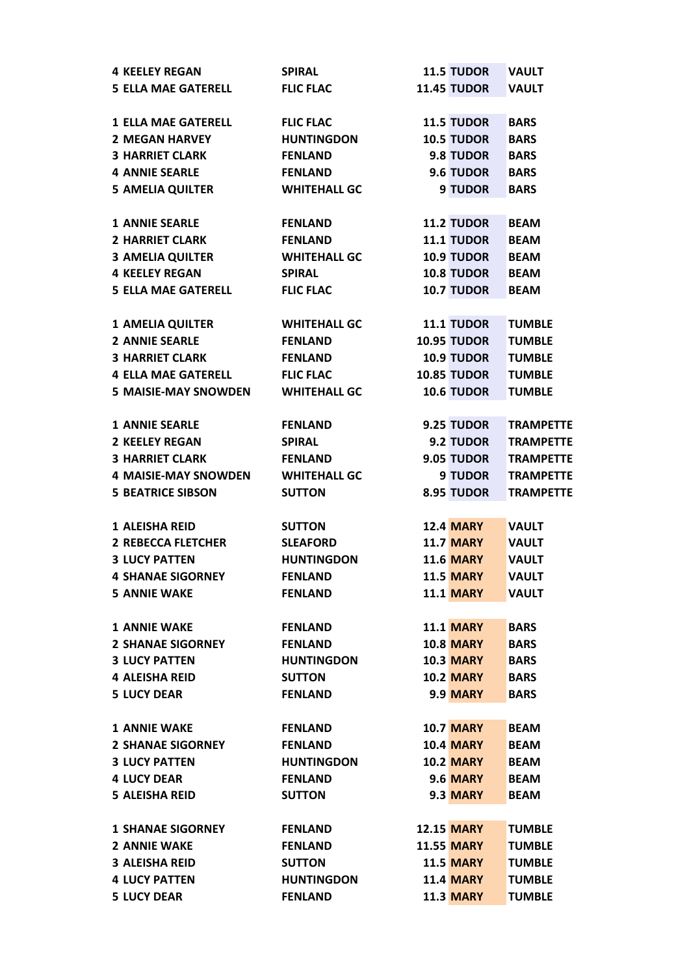| <b>4 KEELEY REGAN</b>       | <b>SPIRAL</b>       | <b>11.5 TUDOR</b>                    | <b>VAULT</b>     |
|-----------------------------|---------------------|--------------------------------------|------------------|
| <b>5 ELLA MAE GATERELL</b>  | <b>FLIC FLAC</b>    | <b>11.45 TUDOR</b>                   | <b>VAULT</b>     |
|                             |                     |                                      |                  |
| <b>1 ELLA MAE GATERELL</b>  | <b>FLIC FLAC</b>    | <b>11.5 TUDOR</b>                    | <b>BARS</b>      |
| <b>2 MEGAN HARVEY</b>       | <b>HUNTINGDON</b>   | <b>10.5 TUDOR</b>                    | <b>BARS</b>      |
| <b>3 HARRIET CLARK</b>      | <b>FENLAND</b>      | 9.8 TUDOR                            | <b>BARS</b>      |
| <b>4 ANNIE SEARLE</b>       | <b>FENLAND</b>      | 9.6 TUDOR                            | <b>BARS</b>      |
| <b>5 AMELIA QUILTER</b>     | <b>WHITEHALL GC</b> | 9 TUDOR                              | <b>BARS</b>      |
|                             |                     |                                      |                  |
| <b>1 ANNIE SEARLE</b>       | <b>FENLAND</b>      | <b>11.2 TUDOR</b>                    | <b>BEAM</b>      |
| <b>2 HARRIET CLARK</b>      | <b>FENLAND</b>      | <b>11.1 TUDOR</b>                    | <b>BEAM</b>      |
| <b>3 AMELIA QUILTER</b>     | <b>WHITEHALL GC</b> | <b>10.9 TUDOR</b>                    | <b>BEAM</b>      |
| <b>4 KEELEY REGAN</b>       | <b>SPIRAL</b>       | <b>10.8 TUDOR</b>                    | <b>BEAM</b>      |
| <b>5 ELLA MAE GATERELL</b>  | <b>FLIC FLAC</b>    | <b>10.7 TUDOR</b>                    | <b>BEAM</b>      |
|                             |                     |                                      |                  |
| <b>1 AMELIA QUILTER</b>     | <b>WHITEHALL GC</b> | <b>11.1 TUDOR</b>                    | <b>TUMBLE</b>    |
| <b>2 ANNIE SEARLE</b>       | <b>FENLAND</b>      | <b>10.95 TUDOR</b>                   | <b>TUMBLE</b>    |
| <b>3 HARRIET CLARK</b>      | <b>FENLAND</b>      | <b>10.9 TUDOR</b>                    | <b>TUMBLE</b>    |
| <b>4 ELLA MAE GATERELL</b>  | <b>FLIC FLAC</b>    | <b>10.85 TUDOR</b>                   | <b>TUMBLE</b>    |
| <b>5 MAISIE-MAY SNOWDEN</b> | <b>WHITEHALL GC</b> | 10.6 TUDOR                           | <b>TUMBLE</b>    |
|                             |                     |                                      |                  |
| <b>1 ANNIE SEARLE</b>       | <b>FENLAND</b>      | 9.25 TUDOR                           | <b>TRAMPETTE</b> |
| <b>2 KEELEY REGAN</b>       | <b>SPIRAL</b>       | 9.2 TUDOR                            | <b>TRAMPETTE</b> |
| <b>3 HARRIET CLARK</b>      | <b>FENLAND</b>      | 9.05 TUDOR                           | <b>TRAMPETTE</b> |
| <b>4 MAISIE-MAY SNOWDEN</b> | <b>WHITEHALL GC</b> | 9 TUDOR                              | <b>TRAMPETTE</b> |
| <b>5 BEATRICE SIBSON</b>    | <b>SUTTON</b>       | 8.95 TUDOR                           | <b>TRAMPETTE</b> |
|                             |                     |                                      |                  |
| 1 ALEISHA REID              | <b>SUTTON</b>       | <b>12.4 MARY</b>                     | <b>VAULT</b>     |
| <b>2 REBECCA FLETCHER</b>   | <b>SLEAFORD</b>     | <b>11.7 MARY</b>                     | <b>VAULT</b>     |
|                             |                     |                                      |                  |
| <b>3 LUCY PATTEN</b>        | <b>HUNTINGDON</b>   | <b>11.6 MARY</b><br><b>11.5 MARY</b> | <b>VAULT</b>     |
| <b>4 SHANAE SIGORNEY</b>    | <b>FENLAND</b>      |                                      | <b>VAULT</b>     |
| <b>5 ANNIE WAKE</b>         | <b>FENLAND</b>      | <b>11.1 MARY</b>                     | <b>VAULT</b>     |
|                             |                     |                                      |                  |
| <b>1 ANNIE WAKE</b>         | <b>FENLAND</b>      | <b>11.1 MARY</b>                     | <b>BARS</b>      |
| <b>2 SHANAE SIGORNEY</b>    | <b>FENLAND</b>      | <b>10.8 MARY</b>                     | <b>BARS</b>      |
| <b>3 LUCY PATTEN</b>        | <b>HUNTINGDON</b>   | <b>10.3 MARY</b>                     | <b>BARS</b>      |
| <b>4 ALEISHA REID</b>       | <b>SUTTON</b>       | <b>10.2 MARY</b>                     | <b>BARS</b>      |
| <b>5 LUCY DEAR</b>          | <b>FENLAND</b>      | <b>9.9 MARY</b>                      | <b>BARS</b>      |
|                             |                     |                                      |                  |
| <b>1 ANNIE WAKE</b>         | <b>FENLAND</b>      | <b>10.7 MARY</b>                     | <b>BEAM</b>      |
| <b>2 SHANAE SIGORNEY</b>    | <b>FENLAND</b>      | <b>10.4 MARY</b>                     | <b>BEAM</b>      |
| <b>3 LUCY PATTEN</b>        | <b>HUNTINGDON</b>   | <b>10.2 MARY</b>                     | <b>BEAM</b>      |
| <b>4 LUCY DEAR</b>          | <b>FENLAND</b>      | <b>9.6 MARY</b>                      | <b>BEAM</b>      |
| <b>5 ALEISHA REID</b>       | <b>SUTTON</b>       | 9.3 MARY                             | <b>BEAM</b>      |
|                             |                     |                                      |                  |
| <b>1 SHANAE SIGORNEY</b>    | <b>FENLAND</b>      | <b>12.15 MARY</b>                    | <b>TUMBLE</b>    |
| <b>2 ANNIE WAKE</b>         | <b>FENLAND</b>      | <b>11.55 MARY</b>                    | <b>TUMBLE</b>    |
| <b>3 ALEISHA REID</b>       | <b>SUTTON</b>       | <b>11.5 MARY</b>                     | <b>TUMBLE</b>    |
| <b>4 LUCY PATTEN</b>        | <b>HUNTINGDON</b>   | <b>11.4 MARY</b>                     | <b>TUMBLE</b>    |
| <b>5 LUCY DEAR</b>          |                     |                                      |                  |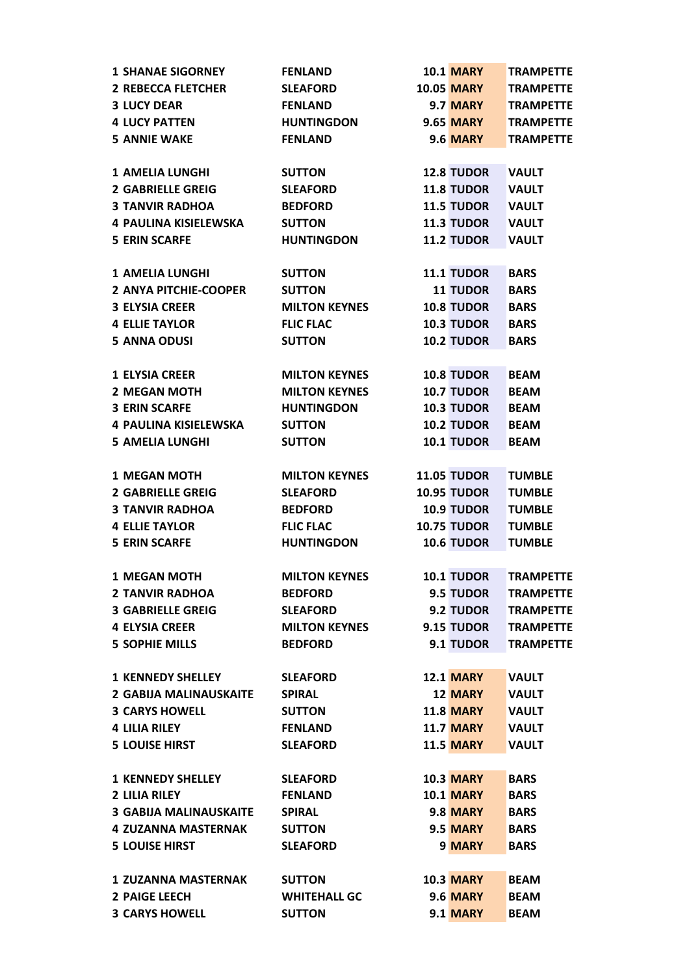| <b>1 SHANAE SIGORNEY</b>      | <b>FENLAND</b>       | <b>10.1 MARY</b>   | <b>TRAMPETTE</b> |
|-------------------------------|----------------------|--------------------|------------------|
| <b>2 REBECCA FLETCHER</b>     | <b>SLEAFORD</b>      | <b>10.05 MARY</b>  | <b>TRAMPETTE</b> |
| <b>3 LUCY DEAR</b>            | <b>FENLAND</b>       | 9.7 MARY           | <b>TRAMPETTE</b> |
| <b>4 LUCY PATTEN</b>          | <b>HUNTINGDON</b>    | <b>9.65 MARY</b>   | <b>TRAMPETTE</b> |
| <b>5 ANNIE WAKE</b>           | <b>FENLAND</b>       | <b>9.6 MARY</b>    | <b>TRAMPETTE</b> |
|                               |                      |                    |                  |
| <b>1 AMELIA LUNGHI</b>        | <b>SUTTON</b>        | <b>12.8 TUDOR</b>  | <b>VAULT</b>     |
| <b>2 GABRIELLE GREIG</b>      | <b>SLEAFORD</b>      | <b>11.8 TUDOR</b>  | <b>VAULT</b>     |
| <b>3 TANVIR RADHOA</b>        | <b>BEDFORD</b>       | <b>11.5 TUDOR</b>  | <b>VAULT</b>     |
| <b>4 PAULINA KISIELEWSKA</b>  | <b>SUTTON</b>        | <b>11.3 TUDOR</b>  | <b>VAULT</b>     |
| <b>5 ERIN SCARFE</b>          | <b>HUNTINGDON</b>    | <b>11.2 TUDOR</b>  | <b>VAULT</b>     |
|                               |                      |                    |                  |
| <b>1 AMELIA LUNGHI</b>        | <b>SUTTON</b>        | <b>11.1 TUDOR</b>  | <b>BARS</b>      |
| 2 ANYA PITCHIE-COOPER         | <b>SUTTON</b>        | <b>11 TUDOR</b>    | <b>BARS</b>      |
| <b>3 ELYSIA CREER</b>         | <b>MILTON KEYNES</b> | <b>10.8 TUDOR</b>  | <b>BARS</b>      |
| <b>4 ELLIE TAYLOR</b>         | <b>FLIC FLAC</b>     | <b>10.3 TUDOR</b>  | <b>BARS</b>      |
| <b>5 ANNA ODUSI</b>           | <b>SUTTON</b>        | <b>10.2 TUDOR</b>  | <b>BARS</b>      |
|                               |                      |                    |                  |
| <b>1 ELYSIA CREER</b>         | <b>MILTON KEYNES</b> | <b>10.8 TUDOR</b>  | <b>BEAM</b>      |
| <b>2 MEGAN MOTH</b>           | <b>MILTON KEYNES</b> | <b>10.7 TUDOR</b>  | <b>BEAM</b>      |
| <b>3 ERIN SCARFE</b>          | <b>HUNTINGDON</b>    | <b>10.3 TUDOR</b>  | <b>BEAM</b>      |
| <b>4 PAULINA KISIELEWSKA</b>  | <b>SUTTON</b>        | <b>10.2 TUDOR</b>  | <b>BEAM</b>      |
| <b>5 AMELIA LUNGHI</b>        | <b>SUTTON</b>        | 10.1 TUDOR         | <b>BEAM</b>      |
|                               |                      |                    |                  |
| <b>1 MEGAN MOTH</b>           | <b>MILTON KEYNES</b> | <b>11.05 TUDOR</b> | <b>TUMBLE</b>    |
| <b>2 GABRIELLE GREIG</b>      | <b>SLEAFORD</b>      | <b>10.95 TUDOR</b> | <b>TUMBLE</b>    |
| <b>3 TANVIR RADHOA</b>        | <b>BEDFORD</b>       | <b>10.9 TUDOR</b>  | <b>TUMBLE</b>    |
| <b>4 ELLIE TAYLOR</b>         | <b>FLIC FLAC</b>     | <b>10.75 TUDOR</b> | <b>TUMBLE</b>    |
| <b>5 ERIN SCARFE</b>          | <b>HUNTINGDON</b>    | 10.6 TUDOR         | <b>TUMBLE</b>    |
|                               |                      |                    |                  |
| <b>1 MEGAN MOTH</b>           | <b>MILTON KEYNES</b> | <b>10.1 TUDOR</b>  | <b>TRAMPETTE</b> |
| <b>2 TANVIR RADHOA</b>        | <b>BEDFORD</b>       | 9.5 TUDOR          | <b>TRAMPETTE</b> |
| <b>3 GABRIELLE GREIG</b>      | <b>SLEAFORD</b>      | 9.2 TUDOR          | <b>TRAMPETTE</b> |
| <b>4 ELYSIA CREER</b>         | <b>MILTON KEYNES</b> | 9.15 TUDOR         | <b>TRAMPETTE</b> |
| <b>5 SOPHIE MILLS</b>         | <b>BEDFORD</b>       | 9.1 TUDOR          | <b>TRAMPETTE</b> |
|                               |                      |                    |                  |
| <b>1 KENNEDY SHELLEY</b>      | <b>SLEAFORD</b>      | <b>12.1 MARY</b>   | <b>VAULT</b>     |
| <b>2 GABIJA MALINAUSKAITE</b> | <b>SPIRAL</b>        | <b>12 MARY</b>     | <b>VAULT</b>     |
| <b>3 CARYS HOWELL</b>         | <b>SUTTON</b>        | <b>11.8 MARY</b>   | <b>VAULT</b>     |
| <b>4 LILIA RILEY</b>          | <b>FENLAND</b>       | <b>11.7 MARY</b>   | <b>VAULT</b>     |
| <b>5 LOUISE HIRST</b>         | <b>SLEAFORD</b>      | <b>11.5 MARY</b>   | <b>VAULT</b>     |
|                               |                      |                    |                  |
| <b>1 KENNEDY SHELLEY</b>      | <b>SLEAFORD</b>      | <b>10.3 MARY</b>   | <b>BARS</b>      |
| <b>2 LILIA RILEY</b>          | <b>FENLAND</b>       | <b>10.1 MARY</b>   | <b>BARS</b>      |
| <b>3 GABIJA MALINAUSKAITE</b> | <b>SPIRAL</b>        | 9.8 MARY           | <b>BARS</b>      |
| <b>4 ZUZANNA MASTERNAK</b>    | <b>SUTTON</b>        | 9.5 MARY           | <b>BARS</b>      |
| <b>5 LOUISE HIRST</b>         | <b>SLEAFORD</b>      | 9 MARY             | <b>BARS</b>      |
|                               |                      |                    |                  |
| <b>1 ZUZANNA MASTERNAK</b>    | <b>SUTTON</b>        | <b>10.3 MARY</b>   | <b>BEAM</b>      |
| <b>2 PAIGE LEECH</b>          | <b>WHITEHALL GC</b>  | <b>9.6 MARY</b>    | <b>BEAM</b>      |
| <b>3 CARYS HOWELL</b>         | <b>SUTTON</b>        | <b>9.1 MARY</b>    | <b>BEAM</b>      |
|                               |                      |                    |                  |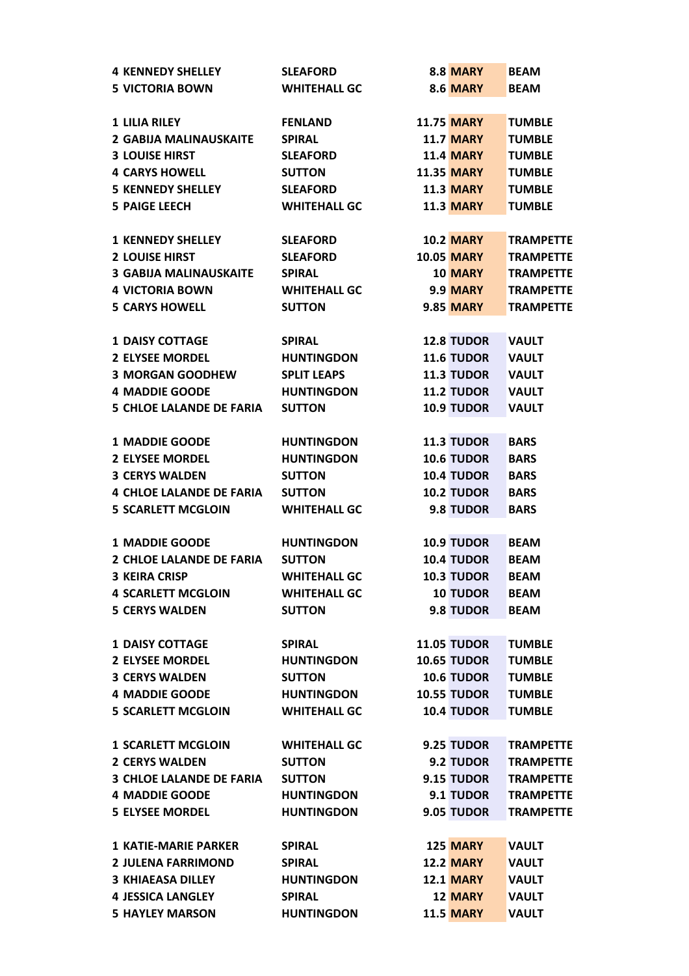| <b>4 KENNEDY SHELLEY</b>        | <b>SLEAFORD</b>     | <b>8.8 MARY</b>    | <b>BEAM</b>      |
|---------------------------------|---------------------|--------------------|------------------|
| <b>5 VICTORIA BOWN</b>          | <b>WHITEHALL GC</b> | <b>8.6 MARY</b>    | <b>BEAM</b>      |
|                                 |                     |                    |                  |
| <b>1 LILIA RILEY</b>            | <b>FENLAND</b>      | <b>11.75 MARY</b>  | <b>TUMBLE</b>    |
| <b>2 GABIJA MALINAUSKAITE</b>   | <b>SPIRAL</b>       | <b>11.7 MARY</b>   | <b>TUMBLE</b>    |
| <b>3 LOUISE HIRST</b>           | <b>SLEAFORD</b>     | <b>11.4 MARY</b>   | <b>TUMBLE</b>    |
| <b>4 CARYS HOWELL</b>           | <b>SUTTON</b>       | <b>11.35 MARY</b>  | <b>TUMBLE</b>    |
| <b>5 KENNEDY SHELLEY</b>        | <b>SLEAFORD</b>     | <b>11.3 MARY</b>   | <b>TUMBLE</b>    |
| <b>5 PAIGE LEECH</b>            | <b>WHITEHALL GC</b> | <b>11.3 MARY</b>   | <b>TUMBLE</b>    |
|                                 |                     |                    |                  |
| <b>1 KENNEDY SHELLEY</b>        | <b>SLEAFORD</b>     | <b>10.2 MARY</b>   | <b>TRAMPETTE</b> |
| <b>2 LOUISE HIRST</b>           | <b>SLEAFORD</b>     | <b>10.05 MARY</b>  | <b>TRAMPETTE</b> |
| <b>3 GABIJA MALINAUSKAITE</b>   | <b>SPIRAL</b>       | <b>10 MARY</b>     | <b>TRAMPETTE</b> |
|                                 |                     |                    |                  |
| <b>4 VICTORIA BOWN</b>          | <b>WHITEHALL GC</b> | <b>9.9 MARY</b>    | <b>TRAMPETTE</b> |
| <b>5 CARYS HOWELL</b>           | <b>SUTTON</b>       | <b>9.85 MARY</b>   | <b>TRAMPETTE</b> |
|                                 |                     |                    |                  |
| <b>1 DAISY COTTAGE</b>          | <b>SPIRAL</b>       | <b>12.8 TUDOR</b>  | <b>VAULT</b>     |
| <b>2 ELYSEE MORDEL</b>          | <b>HUNTINGDON</b>   | 11.6 TUDOR         | <b>VAULT</b>     |
| <b>3 MORGAN GOODHEW</b>         | <b>SPLIT LEAPS</b>  | <b>11.3 TUDOR</b>  | <b>VAULT</b>     |
| <b>4 MADDIE GOODE</b>           | <b>HUNTINGDON</b>   | <b>11.2 TUDOR</b>  | <b>VAULT</b>     |
| <b>5 CHLOE LALANDE DE FARIA</b> | <b>SUTTON</b>       | 10.9 TUDOR         | <b>VAULT</b>     |
|                                 |                     |                    |                  |
| <b>1 MADDIE GOODE</b>           | <b>HUNTINGDON</b>   | <b>11.3 TUDOR</b>  | <b>BARS</b>      |
| <b>2 ELYSEE MORDEL</b>          | <b>HUNTINGDON</b>   | <b>10.6 TUDOR</b>  | <b>BARS</b>      |
| <b>3 CERYS WALDEN</b>           | <b>SUTTON</b>       | <b>10.4 TUDOR</b>  | <b>BARS</b>      |
| <b>4 CHLOE LALANDE DE FARIA</b> | <b>SUTTON</b>       | <b>10.2 TUDOR</b>  | <b>BARS</b>      |
| <b>5 SCARLETT MCGLOIN</b>       | <b>WHITEHALL GC</b> | 9.8 TUDOR          | <b>BARS</b>      |
|                                 |                     |                    |                  |
| <b>1 MADDIE GOODE</b>           | <b>HUNTINGDON</b>   | 10.9 TUDOR         | <b>BEAM</b>      |
| <b>2 CHLOE LALANDE DE FARIA</b> | <b>SUTTON</b>       | <b>10.4 TUDOR</b>  | <b>BEAM</b>      |
| <b>3 KEIRA CRISP</b>            | <b>WHITEHALL GC</b> | <b>10.3 TUDOR</b>  | <b>BEAM</b>      |
| <b>4 SCARLETT MCGLOIN</b>       | <b>WHITEHALL GC</b> | <b>10 TUDOR</b>    | <b>BEAM</b>      |
| <b>5 CERYS WALDEN</b>           | <b>SUTTON</b>       | 9.8 TUDOR          | <b>BEAM</b>      |
|                                 |                     |                    |                  |
| <b>1 DAISY COTTAGE</b>          | <b>SPIRAL</b>       | <b>11.05 TUDOR</b> | <b>TUMBLE</b>    |
| <b>2 ELYSEE MORDEL</b>          | <b>HUNTINGDON</b>   | <b>10.65 TUDOR</b> | <b>TUMBLE</b>    |
| <b>3 CERYS WALDEN</b>           | <b>SUTTON</b>       | <b>10.6 TUDOR</b>  | <b>TUMBLE</b>    |
| <b>4 MADDIE GOODE</b>           | <b>HUNTINGDON</b>   | <b>10.55 TUDOR</b> | <b>TUMBLE</b>    |
| <b>5 SCARLETT MCGLOIN</b>       | <b>WHITEHALL GC</b> | <b>10.4 TUDOR</b>  | <b>TUMBLE</b>    |
|                                 |                     |                    |                  |
| <b>1 SCARLETT MCGLOIN</b>       | <b>WHITEHALL GC</b> | 9.25 TUDOR         | <b>TRAMPETTE</b> |
| <b>2 CERYS WALDEN</b>           | <b>SUTTON</b>       | 9.2 TUDOR          | <b>TRAMPETTE</b> |
| <b>3 CHLOE LALANDE DE FARIA</b> | <b>SUTTON</b>       | 9.15 TUDOR         | <b>TRAMPETTE</b> |
|                                 |                     |                    |                  |
| <b>4 MADDIE GOODE</b>           | <b>HUNTINGDON</b>   | 9.1 TUDOR          | <b>TRAMPETTE</b> |
| <b>5 ELYSEE MORDEL</b>          | <b>HUNTINGDON</b>   | 9.05 TUDOR         | <b>TRAMPETTE</b> |
|                                 |                     |                    |                  |
| <b>1 KATIE-MARIE PARKER</b>     | <b>SPIRAL</b>       | 125 MARY           | <b>VAULT</b>     |
| <b>2 JULENA FARRIMOND</b>       | <b>SPIRAL</b>       | <b>12.2 MARY</b>   | <b>VAULT</b>     |
| <b>3 KHIAEASA DILLEY</b>        | <b>HUNTINGDON</b>   | <b>12.1 MARY</b>   | <b>VAULT</b>     |
| <b>4 JESSICA LANGLEY</b>        | <b>SPIRAL</b>       | <b>12 MARY</b>     | <b>VAULT</b>     |
| <b>5 HAYLEY MARSON</b>          | <b>HUNTINGDON</b>   | <b>11.5 MARY</b>   | <b>VAULT</b>     |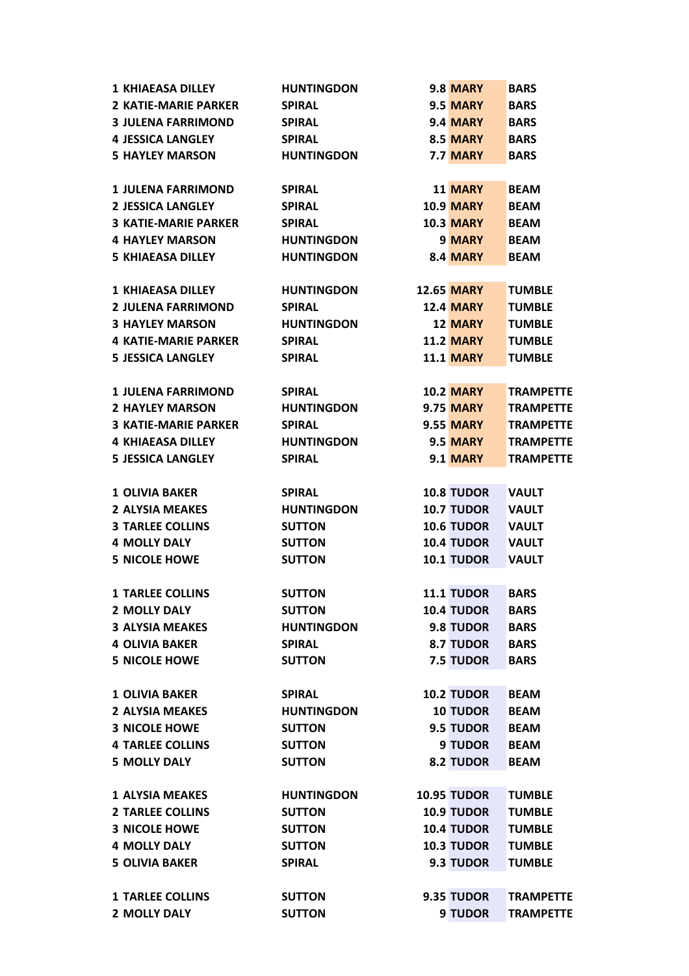| <b>1 KHIAEASA DILLEY</b>    | <b>HUNTINGDON</b> | <b>9.8 MARY</b>    | <b>BARS</b>      |
|-----------------------------|-------------------|--------------------|------------------|
| <b>2 KATIE-MARIE PARKER</b> | <b>SPIRAL</b>     | 9.5 MARY           | <b>BARS</b>      |
| <b>3 JULENA FARRIMOND</b>   | <b>SPIRAL</b>     | 9.4 MARY           | <b>BARS</b>      |
| <b>4 JESSICA LANGLEY</b>    | <b>SPIRAL</b>     | <b>8.5 MARY</b>    | <b>BARS</b>      |
| <b>5 HAYLEY MARSON</b>      | <b>HUNTINGDON</b> | 7.7 MARY           | <b>BARS</b>      |
|                             |                   |                    |                  |
| <b>1 JULENA FARRIMOND</b>   | <b>SPIRAL</b>     | <b>11 MARY</b>     | <b>BEAM</b>      |
| <b>2 JESSICA LANGLEY</b>    | <b>SPIRAL</b>     | <b>10.9 MARY</b>   | <b>BEAM</b>      |
| <b>3 KATIE-MARIE PARKER</b> | <b>SPIRAL</b>     | <b>10.3 MARY</b>   | <b>BEAM</b>      |
| <b>4 HAYLEY MARSON</b>      | <b>HUNTINGDON</b> | 9 MARY             | <b>BEAM</b>      |
| <b>5 KHIAEASA DILLEY</b>    | <b>HUNTINGDON</b> | 8.4 MARY           | <b>BEAM</b>      |
|                             |                   |                    |                  |
| 1 KHIAEASA DILLEY           | <b>HUNTINGDON</b> | <b>12.65 MARY</b>  | <b>TUMBLE</b>    |
| <b>2 JULENA FARRIMOND</b>   | <b>SPIRAL</b>     | <b>12.4 MARY</b>   | <b>TUMBLE</b>    |
| <b>3 HAYLEY MARSON</b>      | <b>HUNTINGDON</b> | <b>12 MARY</b>     | <b>TUMBLE</b>    |
| <b>4 KATIE-MARIE PARKER</b> | <b>SPIRAL</b>     | <b>11.2 MARY</b>   | <b>TUMBLE</b>    |
| <b>5 JESSICA LANGLEY</b>    | <b>SPIRAL</b>     | <b>11.1 MARY</b>   | <b>TUMBLE</b>    |
|                             |                   |                    |                  |
| <b>1 JULENA FARRIMOND</b>   | <b>SPIRAL</b>     | <b>10.2 MARY</b>   | <b>TRAMPETTE</b> |
| <b>2 HAYLEY MARSON</b>      | <b>HUNTINGDON</b> | <b>9.75 MARY</b>   | <b>TRAMPETTE</b> |
| <b>3 KATIE-MARIE PARKER</b> | <b>SPIRAL</b>     | <b>9.55 MARY</b>   | <b>TRAMPETTE</b> |
| <b>4 KHIAEASA DILLEY</b>    | <b>HUNTINGDON</b> | 9.5 MARY           | <b>TRAMPETTE</b> |
| <b>5 JESSICA LANGLEY</b>    | <b>SPIRAL</b>     | 9.1 MARY           | <b>TRAMPETTE</b> |
|                             |                   |                    |                  |
| <b>1 OLIVIA BAKER</b>       | <b>SPIRAL</b>     | <b>10.8 TUDOR</b>  | <b>VAULT</b>     |
| <b>2 ALYSIA MEAKES</b>      | <b>HUNTINGDON</b> | <b>10.7 TUDOR</b>  | <b>VAULT</b>     |
| <b>3 TARLEE COLLINS</b>     | <b>SUTTON</b>     | 10.6 TUDOR         | <b>VAULT</b>     |
| <b>4 MOLLY DALY</b>         | <b>SUTTON</b>     | <b>10.4 TUDOR</b>  | <b>VAULT</b>     |
| <b>5 NICOLE HOWE</b>        | <b>SUTTON</b>     | <b>10.1 TUDOR</b>  | <b>VAULT</b>     |
|                             |                   |                    |                  |
| <b>1 TARLEE COLLINS</b>     | <b>SUTTON</b>     | 11.1 TUDOR         | <b>BARS</b>      |
| <b>2 MOLLY DALY</b>         | <b>SUTTON</b>     | <b>10.4 TUDOR</b>  | <b>BARS</b>      |
| <b>3 ALYSIA MEAKES</b>      | <b>HUNTINGDON</b> | 9.8 TUDOR          | <b>BARS</b>      |
| <b>4 OLIVIA BAKER</b>       | <b>SPIRAL</b>     | 8.7 TUDOR          | <b>BARS</b>      |
| <b>5 NICOLE HOWE</b>        | <b>SUTTON</b>     | 7.5 TUDOR          | <b>BARS</b>      |
|                             |                   |                    |                  |
| <b>1 OLIVIA BAKER</b>       | <b>SPIRAL</b>     | <b>10.2 TUDOR</b>  | <b>BEAM</b>      |
| <b>2 ALYSIA MEAKES</b>      | <b>HUNTINGDON</b> | <b>10 TUDOR</b>    | <b>BEAM</b>      |
| <b>3 NICOLE HOWE</b>        | <b>SUTTON</b>     | 9.5 TUDOR          | <b>BEAM</b>      |
| <b>4 TARLEE COLLINS</b>     | <b>SUTTON</b>     | 9 TUDOR            | <b>BEAM</b>      |
| <b>5 MOLLY DALY</b>         | <b>SUTTON</b>     | 8.2 TUDOR          | <b>BEAM</b>      |
|                             |                   |                    |                  |
| <b>1 ALYSIA MEAKES</b>      | <b>HUNTINGDON</b> | <b>10.95 TUDOR</b> | <b>TUMBLE</b>    |
| <b>2 TARLEE COLLINS</b>     | <b>SUTTON</b>     | <b>10.9 TUDOR</b>  | <b>TUMBLE</b>    |
| <b>3 NICOLE HOWE</b>        | <b>SUTTON</b>     | <b>10.4 TUDOR</b>  | <b>TUMBLE</b>    |
| <b>4 MOLLY DALY</b>         | <b>SUTTON</b>     | <b>10.3 TUDOR</b>  | <b>TUMBLE</b>    |
| <b>5 OLIVIA BAKER</b>       | <b>SPIRAL</b>     | 9.3 TUDOR          | <b>TUMBLE</b>    |
|                             |                   |                    |                  |
| <b>1 TARLEE COLLINS</b>     | <b>SUTTON</b>     | 9.35 TUDOR         | <b>TRAMPETTE</b> |
| 2 MOLLY DALY                | <b>SUTTON</b>     | 9 TUDOR            | <b>TRAMPETTE</b> |
|                             |                   |                    |                  |